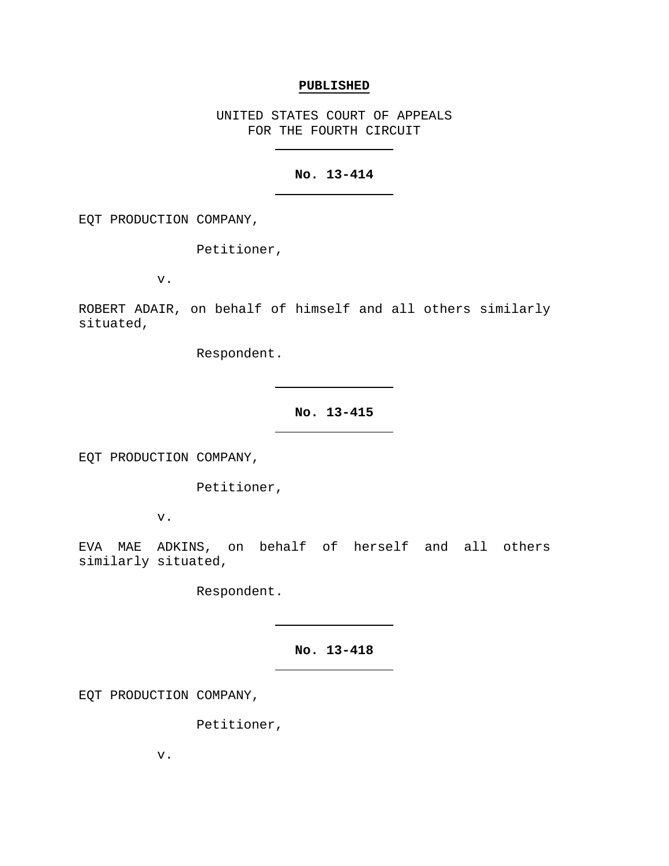#### **PUBLISHED**

UNITED STATES COURT OF APPEALS FOR THE FOURTH CIRCUIT

# **No. 13-414**

EQT PRODUCTION COMPANY,

Petitioner,

v.

ROBERT ADAIR, on behalf of himself and all others similarly situated,

Respondent.

**No. 13-415**

EQT PRODUCTION COMPANY,

Petitioner,

v.

EVA MAE ADKINS, on behalf of herself and all others similarly situated,

Respondent.

**No. 13-418**

EQT PRODUCTION COMPANY,

Petitioner,

v.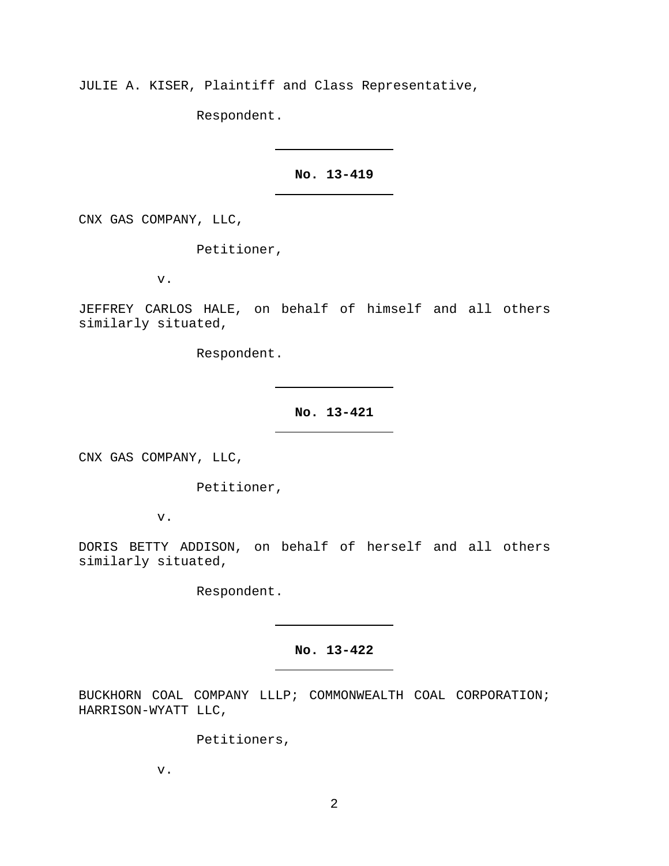JULIE A. KISER, Plaintiff and Class Representative,

Respondent.

# **No. 13-419**

CNX GAS COMPANY, LLC,

Petitioner,

v.

JEFFREY CARLOS HALE, on behalf of himself and all others similarly situated,

Respondent.

**No. 13-421**

CNX GAS COMPANY, LLC,

Petitioner,

v.

DORIS BETTY ADDISON, on behalf of herself and all others similarly situated,

Respondent.

# **No. 13-422**

BUCKHORN COAL COMPANY LLLP; COMMONWEALTH COAL CORPORATION; HARRISON-WYATT LLC,

Petitioners,

v.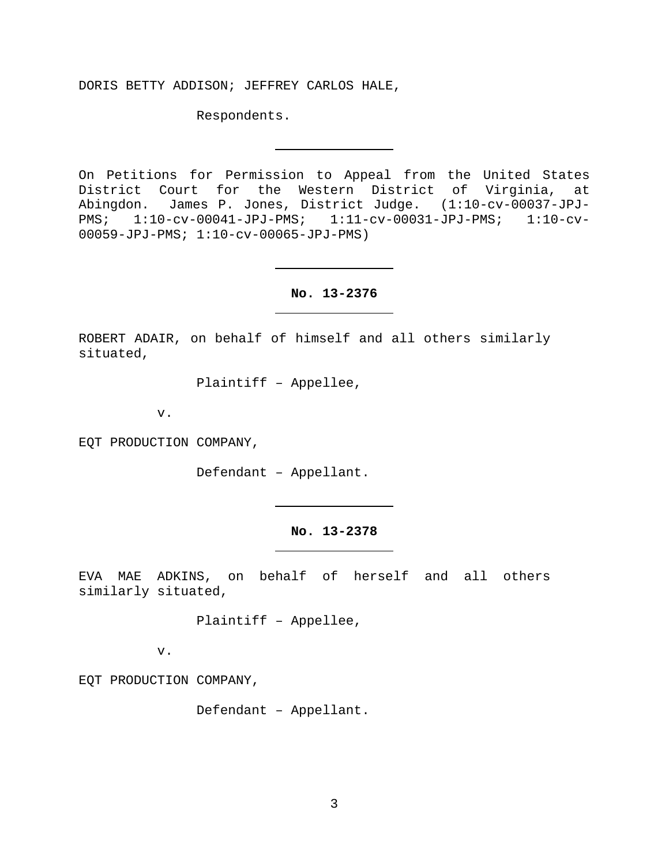DORIS BETTY ADDISON; JEFFREY CARLOS HALE,

Respondents.

On Petitions for Permission to Appeal from the United States District Court for the Western District of Virginia, at Abingdon. James P. Jones, District Judge. (1:10-cv-00037-JPJ-<br>PMS; 1:10-cv-00041-JPJ-PMS; 1:11-cv-00031-JPJ-PMS; 1:10-cv-PMS; 1:10-cv-00041-JPJ-PMS; 1:11-cv-00031-JPJ-PMS; 1:10-cv-00059-JPJ-PMS; 1:10-cv-00065-JPJ-PMS)

**No. 13-2376**

ROBERT ADAIR, on behalf of himself and all others similarly situated,

Plaintiff – Appellee,

v.

EQT PRODUCTION COMPANY,

Defendant – Appellant.

**No. 13-2378**

EVA MAE ADKINS, on behalf of herself and all others similarly situated,

Plaintiff – Appellee,

v.

EQT PRODUCTION COMPANY,

Defendant – Appellant.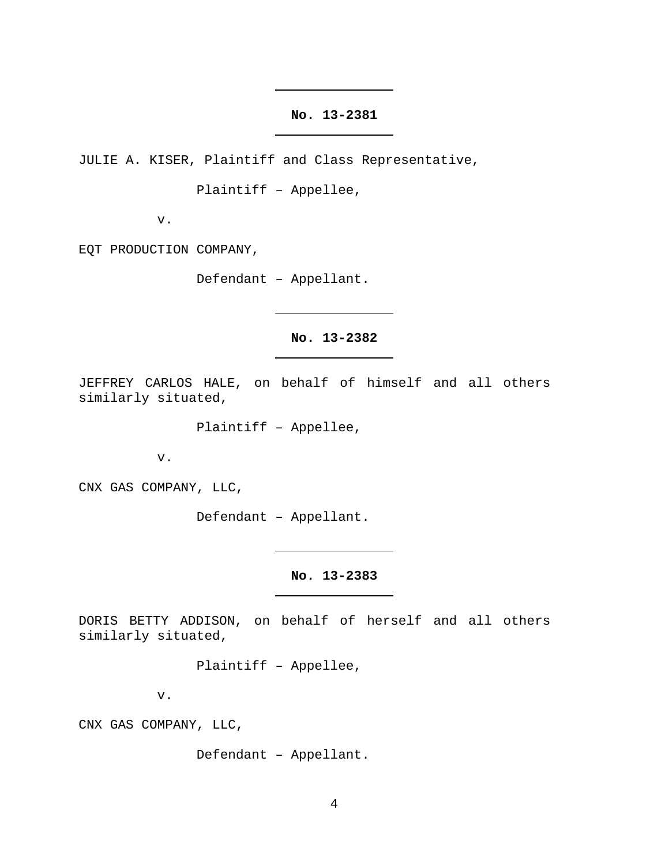### **No. 13-2381**

JULIE A. KISER, Plaintiff and Class Representative,

Plaintiff – Appellee,

v.

EQT PRODUCTION COMPANY,

Defendant – Appellant.

## **No. 13-2382**

JEFFREY CARLOS HALE, on behalf of himself and all others similarly situated,

Plaintiff – Appellee,

v.

CNX GAS COMPANY, LLC,

Defendant – Appellant.

**No. 13-2383**

DORIS BETTY ADDISON, on behalf of herself and all others similarly situated,

Plaintiff – Appellee,

v.

CNX GAS COMPANY, LLC,

Defendant – Appellant.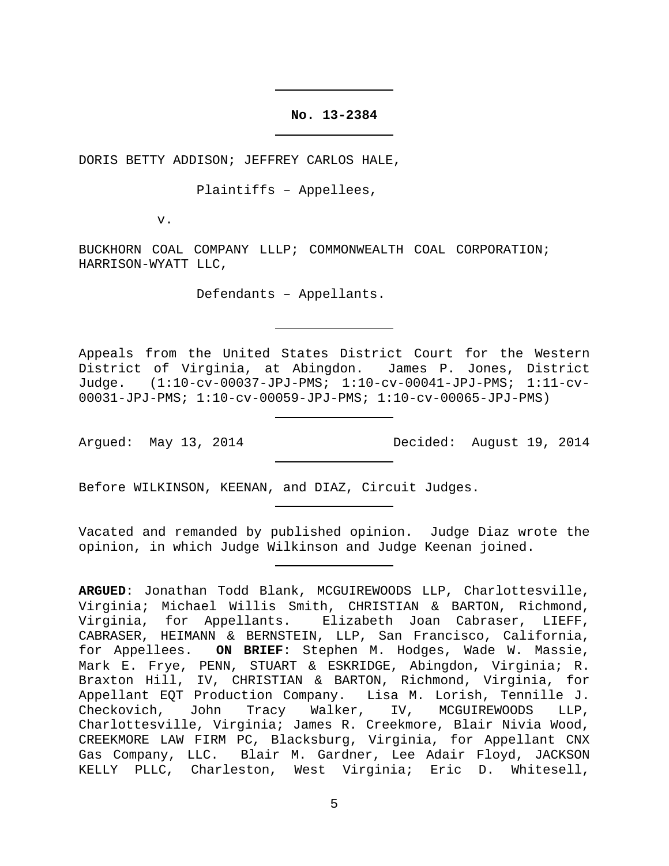**No. 13-2384**

DORIS BETTY ADDISON; JEFFREY CARLOS HALE,

Plaintiffs – Appellees,

v.

BUCKHORN COAL COMPANY LLLP; COMMONWEALTH COAL CORPORATION; HARRISON-WYATT LLC,

Defendants – Appellants.

Appeals from the United States District Court for the Western District of Virginia, at Abingdon. James P. Jones, District Judge. (1:10-cv-00037-JPJ-PMS; 1:10-cv-00041-JPJ-PMS; 1:11-cv-00031-JPJ-PMS; 1:10-cv-00059-JPJ-PMS; 1:10-cv-00065-JPJ-PMS)

Argued: May 13, 2014 Decided: August 19, 2014

Before WILKINSON, KEENAN, and DIAZ, Circuit Judges.

Vacated and remanded by published opinion. Judge Diaz wrote the opinion, in which Judge Wilkinson and Judge Keenan joined.

**ARGUED**: Jonathan Todd Blank, MCGUIREWOODS LLP, Charlottesville, Virginia; Michael Willis Smith, CHRISTIAN & BARTON, Richmond, Virginia, for Appellants. Elizabeth Joan Cabraser, LIEFF, CABRASER, HEIMANN & BERNSTEIN, LLP, San Francisco, California, for Appellees. **ON BRIEF**: Stephen M. Hodges, Wade W. Massie, Mark E. Frye, PENN, STUART & ESKRIDGE, Abingdon, Virginia; R. Braxton Hill, IV, CHRISTIAN & BARTON, Richmond, Virginia, for Appellant EQT Production Company. Lisa M. Lorish, Tennille J.<br>Checkovich, John Tracy Walker, IV, MCGUIREWOODS LLP, Walker, IV, MCGUIREWOODS LLP, Charlottesville, Virginia; James R. Creekmore, Blair Nivia Wood, CREEKMORE LAW FIRM PC, Blacksburg, Virginia, for Appellant CNX Gas Company, LLC. Blair M. Gardner, Lee Adair Floyd, JACKSON KELLY PLLC, Charleston, West Virginia; Eric D. Whitesell,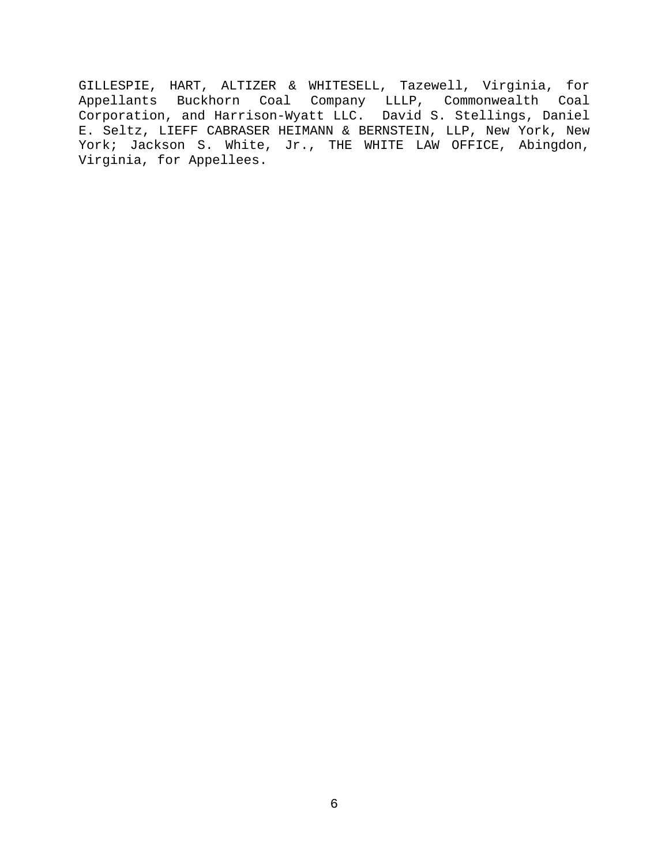GILLESPIE, HART, ALTIZER & WHITESELL, Tazewell, Virginia, for Appellants Buckhorn Coal Company LLLP, Commonwealth Coal Corporation, and Harrison-Wyatt LLC. David S. Stellings, Daniel E. Seltz, LIEFF CABRASER HEIMANN & BERNSTEIN, LLP, New York, New York; Jackson S. White, Jr., THE WHITE LAW OFFICE, Abingdon, Virginia, for Appellees.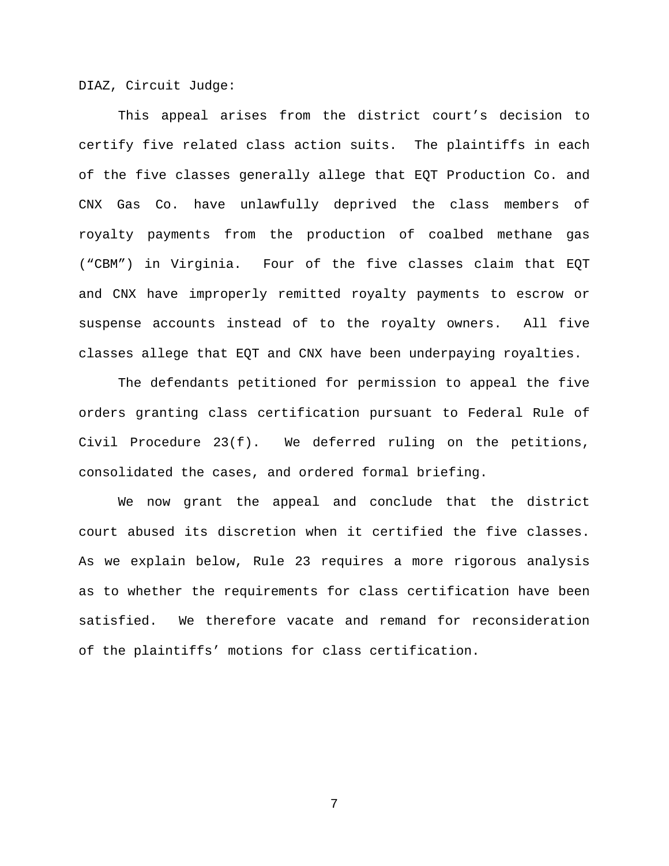DIAZ, Circuit Judge:

This appeal arises from the district court's decision to certify five related class action suits. The plaintiffs in each of the five classes generally allege that EQT Production Co. and CNX Gas Co. have unlawfully deprived the class members of royalty payments from the production of coalbed methane gas ("CBM") in Virginia. Four of the five classes claim that EQT and CNX have improperly remitted royalty payments to escrow or suspense accounts instead of to the royalty owners. All five classes allege that EQT and CNX have been underpaying royalties.

The defendants petitioned for permission to appeal the five orders granting class certification pursuant to Federal Rule of Civil Procedure 23(f). We deferred ruling on the petitions, consolidated the cases, and ordered formal briefing.

We now grant the appeal and conclude that the district court abused its discretion when it certified the five classes. As we explain below, Rule 23 requires a more rigorous analysis as to whether the requirements for class certification have been satisfied. We therefore vacate and remand for reconsideration of the plaintiffs' motions for class certification.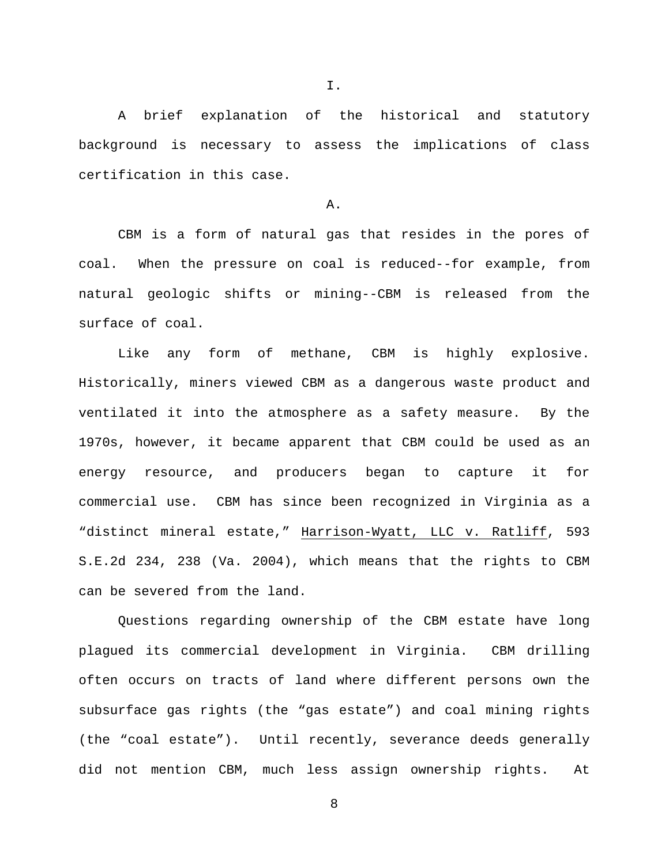A brief explanation of the historical and statutory background is necessary to assess the implications of class certification in this case.

A.

CBM is a form of natural gas that resides in the pores of coal. When the pressure on coal is reduced--for example, from natural geologic shifts or mining--CBM is released from the surface of coal.

Like any form of methane, CBM is highly explosive. Historically, miners viewed CBM as a dangerous waste product and ventilated it into the atmosphere as a safety measure. By the 1970s, however, it became apparent that CBM could be used as an energy resource, and producers began to capture it for commercial use. CBM has since been recognized in Virginia as a "distinct mineral estate," Harrison-Wyatt, LLC v. Ratliff, 593 S.E.2d 234, 238 (Va. 2004), which means that the rights to CBM can be severed from the land.

Questions regarding ownership of the CBM estate have long plagued its commercial development in Virginia. CBM drilling often occurs on tracts of land where different persons own the subsurface gas rights (the "gas estate") and coal mining rights (the "coal estate"). Until recently, severance deeds generally did not mention CBM, much less assign ownership rights. At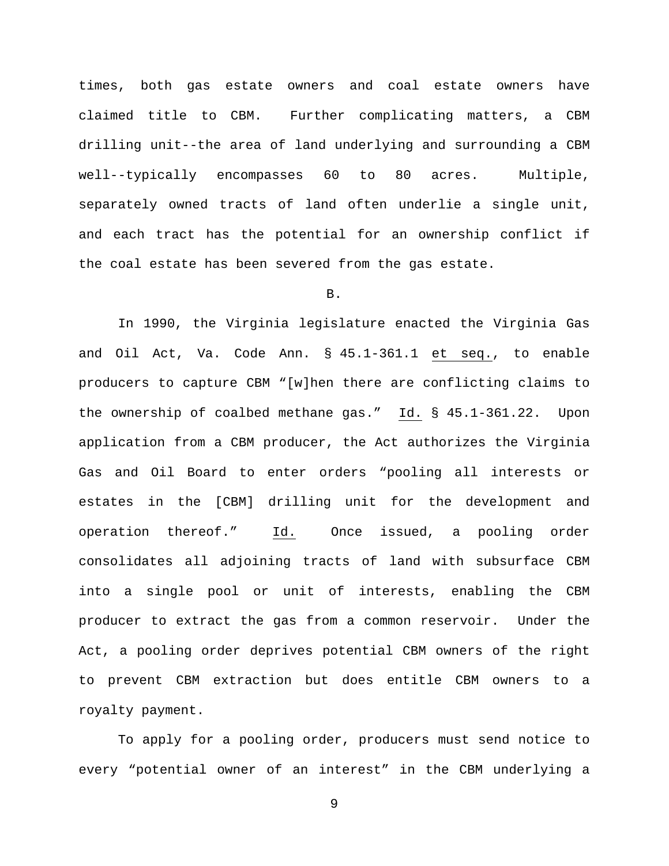times, both gas estate owners and coal estate owners have claimed title to CBM. Further complicating matters, a CBM drilling unit--the area of land underlying and surrounding a CBM well--typically encompasses 60 to 80 acres. Multiple, separately owned tracts of land often underlie a single unit, and each tract has the potential for an ownership conflict if the coal estate has been severed from the gas estate.

### B.

In 1990, the Virginia legislature enacted the Virginia Gas and Oil Act, Va. Code Ann. § 45.1-361.1 et seq., to enable producers to capture CBM "[w]hen there are conflicting claims to the ownership of coalbed methane gas." Id. § 45.1-361.22. Upon application from a CBM producer, the Act authorizes the Virginia Gas and Oil Board to enter orders "pooling all interests or estates in the [CBM] drilling unit for the development and operation thereof." Id. Once issued, a pooling order consolidates all adjoining tracts of land with subsurface CBM into a single pool or unit of interests, enabling the CBM producer to extract the gas from a common reservoir. Under the Act, a pooling order deprives potential CBM owners of the right to prevent CBM extraction but does entitle CBM owners to a royalty payment.

To apply for a pooling order, producers must send notice to every "potential owner of an interest" in the CBM underlying a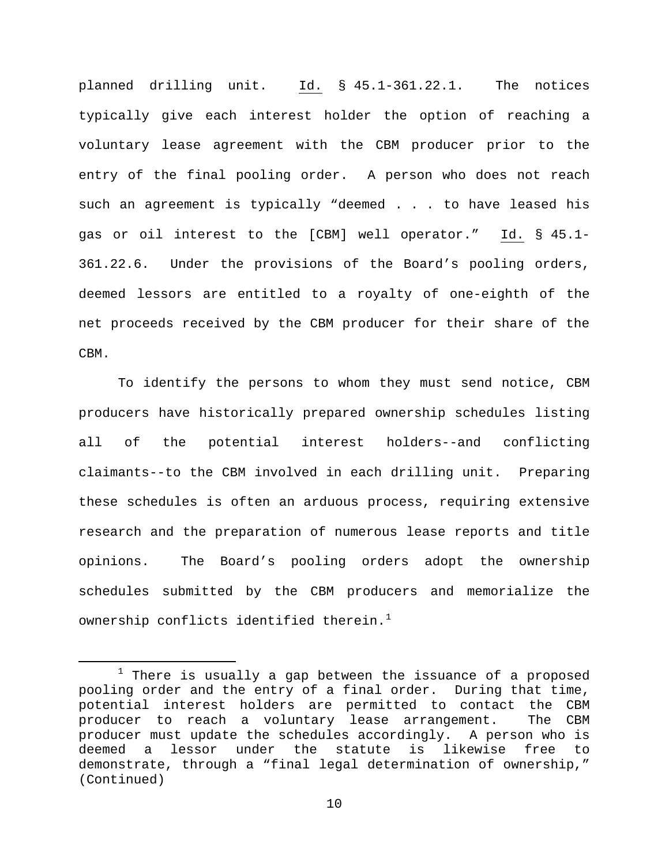planned drilling unit. Id. § 45.1-361.22.1. The notices typically give each interest holder the option of reaching a voluntary lease agreement with the CBM producer prior to the entry of the final pooling order. A person who does not reach such an agreement is typically "deemed . . . to have leased his gas or oil interest to the [CBM] well operator." Id. § 45.1- 361.22.6. Under the provisions of the Board's pooling orders, deemed lessors are entitled to a royalty of one-eighth of the net proceeds received by the CBM producer for their share of the CBM.

To identify the persons to whom they must send notice, CBM producers have historically prepared ownership schedules listing all of the potential interest holders--and conflicting claimants--to the CBM involved in each drilling unit. Preparing these schedules is often an arduous process, requiring extensive research and the preparation of numerous lease reports and title opinions. The Board's pooling orders adopt the ownership schedules submitted by the CBM producers and memorialize the ownership conflicts identified therein. $^1$  $^1$ 

<span id="page-9-0"></span> $1$  There is usually a gap between the issuance of a proposed pooling order and the entry of a final order. During that time, potential interest holders are permitted to contact the CBM<br>producer to reach a voluntary lease arrangement. The CBM producer to reach a voluntary lease arrangement. producer must update the schedules accordingly. A person who is<br>deemed a lessor under the statute is likewise free to deemed a lessor under the statute is likewise free to demonstrate, through a "final legal determination of ownership," (Continued)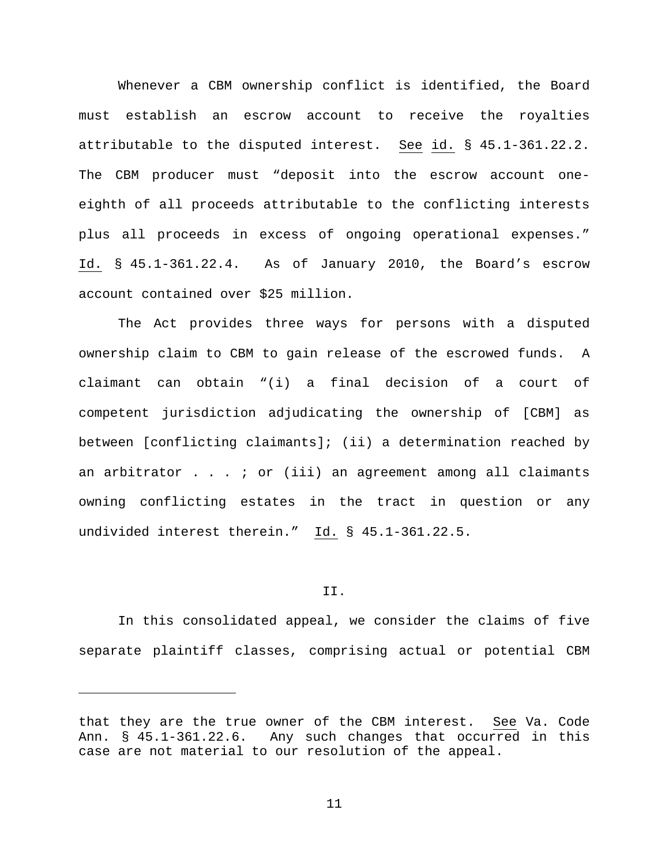Whenever a CBM ownership conflict is identified, the Board must establish an escrow account to receive the royalties attributable to the disputed interest. See id. § 45.1-361.22.2. The CBM producer must "deposit into the escrow account oneeighth of all proceeds attributable to the conflicting interests plus all proceeds in excess of ongoing operational expenses." Id. § 45.1-361.22.4. As of January 2010, the Board's escrow account contained over \$25 million.

The Act provides three ways for persons with a disputed ownership claim to CBM to gain release of the escrowed funds. A claimant can obtain "(i) a final decision of a court of competent jurisdiction adjudicating the ownership of [CBM] as between [conflicting claimants]; (ii) a determination reached by an arbitrator  $\ldots$  ; or (iii) an agreement among all claimants owning conflicting estates in the tract in question or any undivided interest therein." Id. § 45.1-361.22.5.

#### II.

In this consolidated appeal, we consider the claims of five separate plaintiff classes, comprising actual or potential CBM

Ĩ.

that they are the true owner of the CBM interest. See Va. Code Ann. § 45.1-361.22.6. Any such changes that occurred in this case are not material to our resolution of the appeal.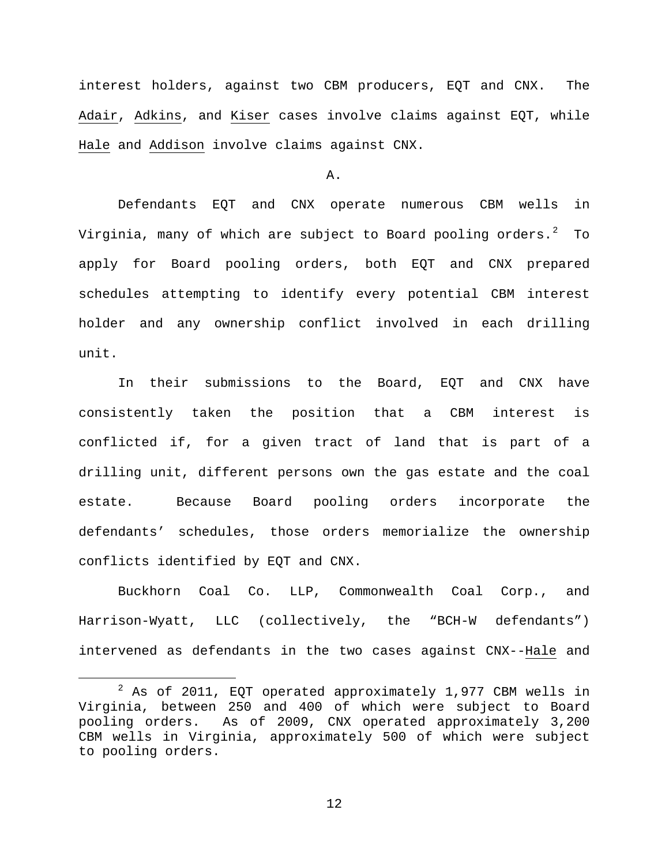interest holders, against two CBM producers, EQT and CNX. The Adair, Adkins, and Kiser cases involve claims against EQT, while Hale and Addison involve claims against CNX.

#### A.

Defendants EQT and CNX operate numerous CBM wells in Virginia, many of which are subject to Board pooling orders. $^2$  $^2$  To apply for Board pooling orders, both EQT and CNX prepared schedules attempting to identify every potential CBM interest holder and any ownership conflict involved in each drilling unit.

In their submissions to the Board, EQT and CNX have consistently taken the position that a CBM interest is conflicted if, for a given tract of land that is part of a drilling unit, different persons own the gas estate and the coal estate. Because Board pooling orders incorporate the defendants' schedules, those orders memorialize the ownership conflicts identified by EQT and CNX.

Buckhorn Coal Co. LLP, Commonwealth Coal Corp., and Harrison-Wyatt, LLC (collectively, the "BCH-W defendants") intervened as defendants in the two cases against CNX--Hale and

<span id="page-11-0"></span> $2$  As of 2011, EQT operated approximately 1,977 CBM wells in Virginia, between 250 and 400 of which were subject to Board pooling orders. As of 2009, CNX operated approximately 3,200 CBM wells in Virginia, approximately 500 of which were subject to pooling orders.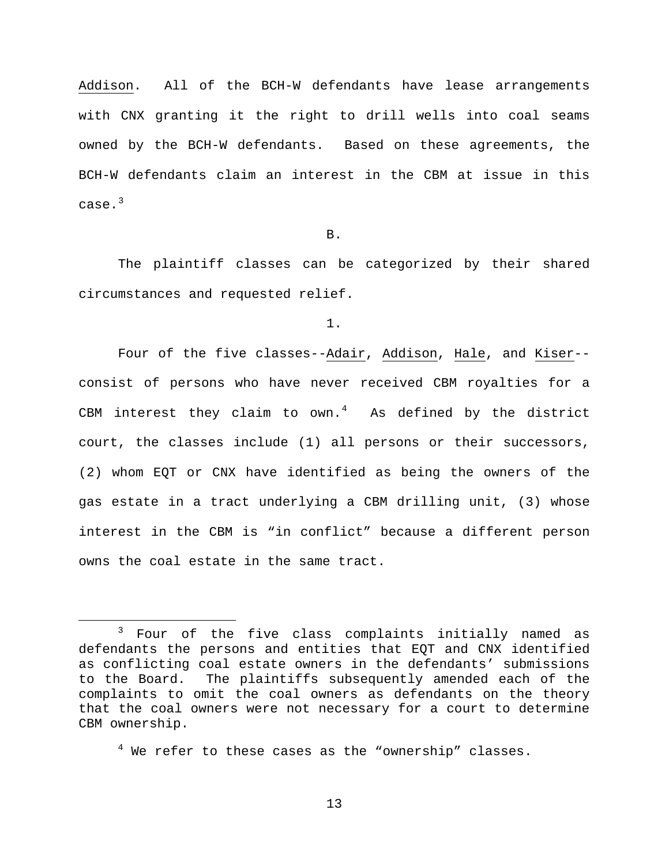Addison. All of the BCH-W defendants have lease arrangements with CNX granting it the right to drill wells into coal seams owned by the BCH-W defendants. Based on these agreements, the BCH-W defendants claim an interest in the CBM at issue in this case.<sup>[3](#page-12-0)</sup>

B.

The plaintiff classes can be categorized by their shared circumstances and requested relief.

1.

Four of the five classes--Adair, Addison, Hale, and Kiser- consist of persons who have never received CBM royalties for a CBM interest they claim to  $own.^4$  $own.^4$  As defined by the district court, the classes include (1) all persons or their successors, (2) whom EQT or CNX have identified as being the owners of the gas estate in a tract underlying a CBM drilling unit, (3) whose interest in the CBM is "in conflict" because a different person owns the coal estate in the same tract.

<span id="page-12-0"></span> <sup>3</sup> Four of the five class complaints initially named as defendants the persons and entities that EQT and CNX identified as conflicting coal estate owners in the defendants' submissions<br>to the Board. The plaintiffs subsequently amended each of the The plaintiffs subsequently amended each of the complaints to omit the coal owners as defendants on the theory that the coal owners were not necessary for a court to determine CBM ownership.

<span id="page-12-1"></span> $4$  We refer to these cases as the "ownership" classes.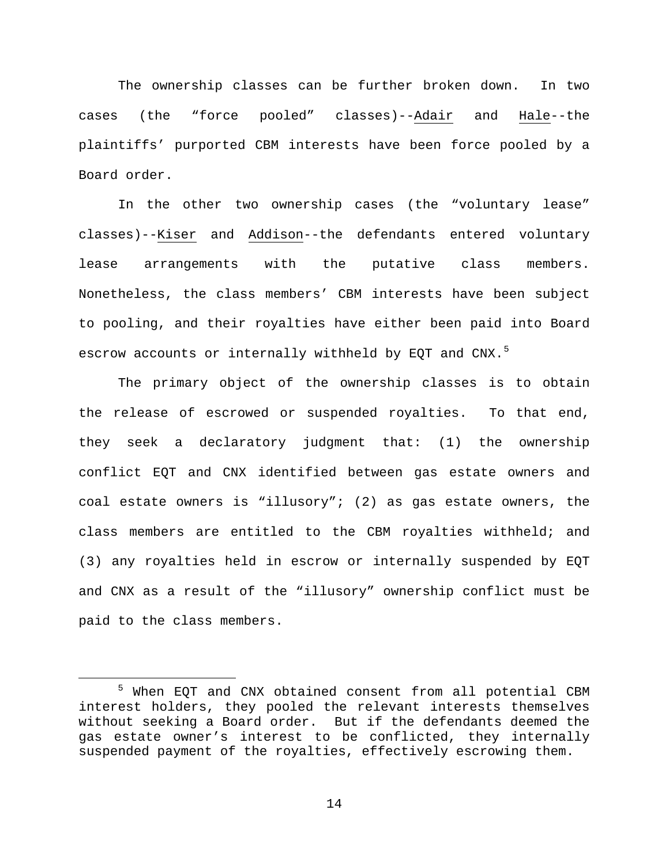The ownership classes can be further broken down. In two cases (the "force pooled" classes)--Adair and Hale--the plaintiffs' purported CBM interests have been force pooled by a Board order.

In the other two ownership cases (the "voluntary lease" classes)--Kiser and Addison--the defendants entered voluntary lease arrangements with the putative class members. Nonetheless, the class members' CBM interests have been subject to pooling, and their royalties have either been paid into Board escrow accounts or internally withheld by EQT and CNX.<sup>[5](#page-13-0)</sup>

The primary object of the ownership classes is to obtain the release of escrowed or suspended royalties. To that end, they seek a declaratory judgment that: (1) the ownership conflict EQT and CNX identified between gas estate owners and coal estate owners is "illusory"; (2) as gas estate owners, the class members are entitled to the CBM royalties withheld; and (3) any royalties held in escrow or internally suspended by EQT and CNX as a result of the "illusory" ownership conflict must be paid to the class members.

<span id="page-13-0"></span> <sup>5</sup> When EQT and CNX obtained consent from all potential CBM interest holders, they pooled the relevant interests themselves without seeking a Board order. But if the defendants deemed the gas estate owner's interest to be conflicted, they internally suspended payment of the royalties, effectively escrowing them.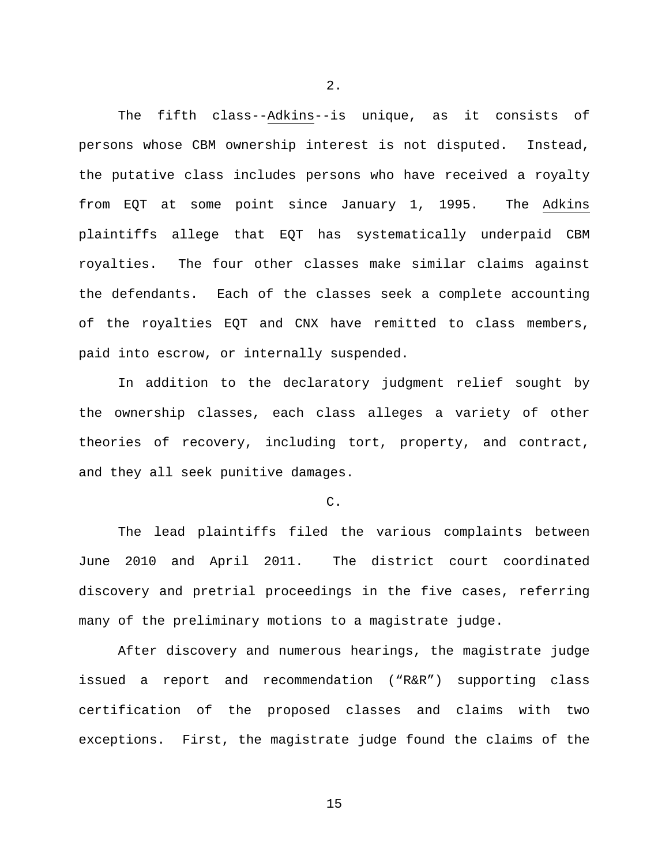The fifth class--Adkins--is unique, as it consists of persons whose CBM ownership interest is not disputed. Instead, the putative class includes persons who have received a royalty from EQT at some point since January 1, 1995. The Adkins plaintiffs allege that EQT has systematically underpaid CBM royalties. The four other classes make similar claims against the defendants. Each of the classes seek a complete accounting of the royalties EQT and CNX have remitted to class members, paid into escrow, or internally suspended.

2.

In addition to the declaratory judgment relief sought by the ownership classes, each class alleges a variety of other theories of recovery, including tort, property, and contract, and they all seek punitive damages.

#### $\mathcal{C}$ .

The lead plaintiffs filed the various complaints between June 2010 and April 2011. The district court coordinated discovery and pretrial proceedings in the five cases, referring many of the preliminary motions to a magistrate judge.

After discovery and numerous hearings, the magistrate judge issued a report and recommendation ("R&R") supporting class certification of the proposed classes and claims with two exceptions. First, the magistrate judge found the claims of the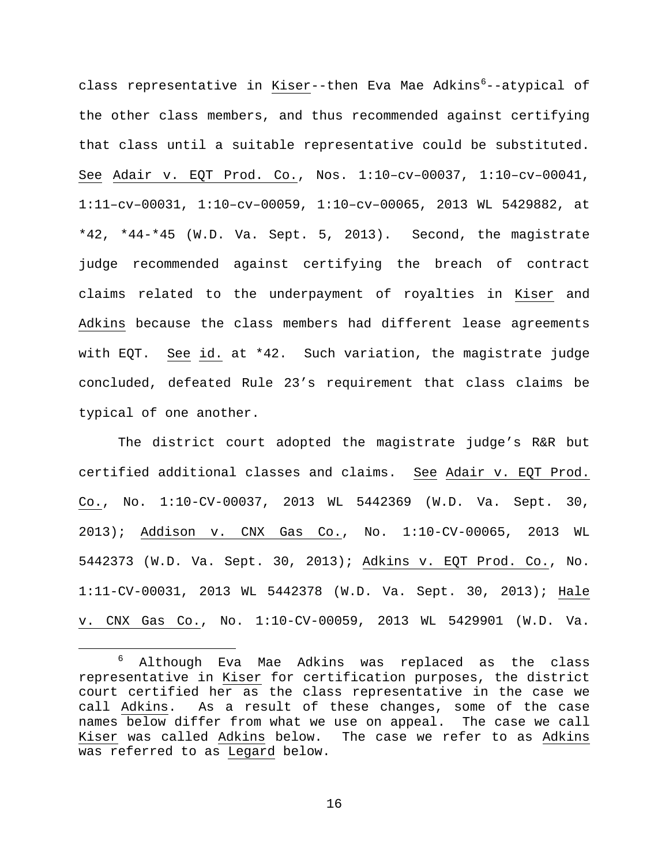class representative in <u>Kiser</u>--then Eva Mae Adkins<sup>[6](#page-15-0)</sup>--atypical of the other class members, and thus recommended against certifying that class until a suitable representative could be substituted. See Adair v. EQT Prod. Co., Nos. 1:10–cv–00037, 1:10–cv–00041, 1:11–cv–00031, 1:10–cv–00059, 1:10–cv–00065, 2013 WL 5429882, at \*42, \*44-\*45 (W.D. Va. Sept. 5, 2013). Second, the magistrate judge recommended against certifying the breach of contract claims related to the underpayment of royalties in Kiser and Adkins because the class members had different lease agreements with EQT. See id. at \*42. Such variation, the magistrate judge concluded, defeated Rule 23's requirement that class claims be typical of one another.

The district court adopted the magistrate judge's R&R but certified additional classes and claims. See Adair v. EQT Prod. Co., No. 1:10-CV-00037, 2013 WL 5442369 (W.D. Va. Sept. 30, 2013); Addison v. CNX Gas Co., No. 1:10-CV-00065, 2013 WL 5442373 (W.D. Va. Sept. 30, 2013); Adkins v. EQT Prod. Co., No. 1:11-CV-00031, 2013 WL 5442378 (W.D. Va. Sept. 30, 2013); Hale v. CNX Gas Co., No. 1:10-CV-00059, 2013 WL 5429901 (W.D. Va.

<span id="page-15-0"></span> <sup>6</sup> Although Eva Mae Adkins was replaced as the class representative in Kiser for certification purposes, the district court certified her as the class representative in the case we call Adkins. As a result of these changes, some of the case names below differ from what we use on appeal. The case we call Kiser was called Adkins below. The case we refer to as Adkins was referred to as Legard below.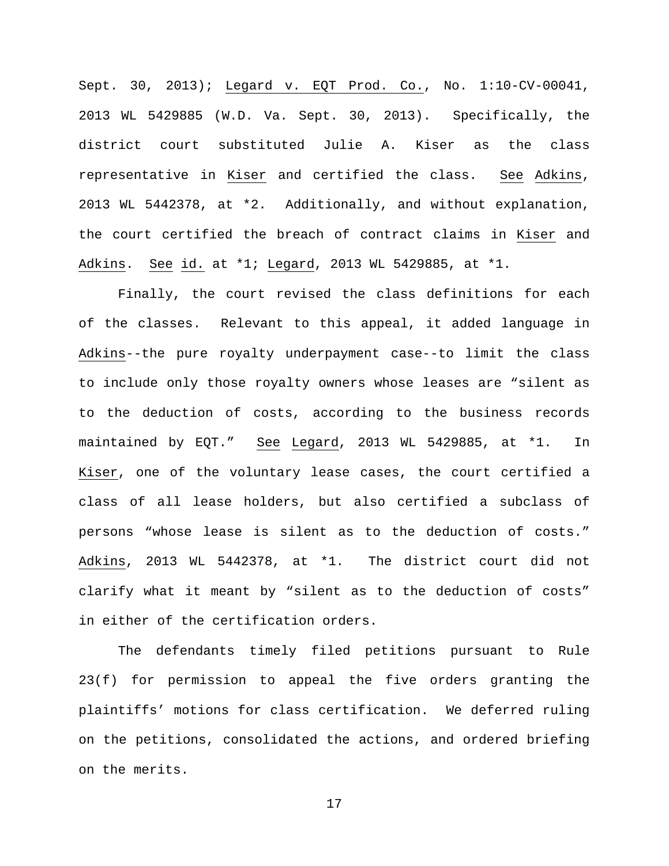Sept. 30, 2013); Legard v. EQT Prod. Co., No. 1:10-CV-00041, 2013 WL 5429885 (W.D. Va. Sept. 30, 2013). Specifically, the district court substituted Julie A. Kiser as the class representative in Kiser and certified the class. See Adkins, 2013 WL 5442378, at \*2. Additionally, and without explanation, the court certified the breach of contract claims in Kiser and Adkins. See id. at \*1; Legard, 2013 WL 5429885, at \*1.

Finally, the court revised the class definitions for each of the classes. Relevant to this appeal, it added language in Adkins--the pure royalty underpayment case--to limit the class to include only those royalty owners whose leases are "silent as to the deduction of costs, according to the business records maintained by EQT." See Legard, 2013 WL 5429885, at \*1. In Kiser, one of the voluntary lease cases, the court certified a class of all lease holders, but also certified a subclass of persons "whose lease is silent as to the deduction of costs." Adkins, 2013 WL 5442378, at \*1. The district court did not clarify what it meant by "silent as to the deduction of costs" in either of the certification orders.

The defendants timely filed petitions pursuant to Rule 23(f) for permission to appeal the five orders granting the plaintiffs' motions for class certification. We deferred ruling on the petitions, consolidated the actions, and ordered briefing on the merits.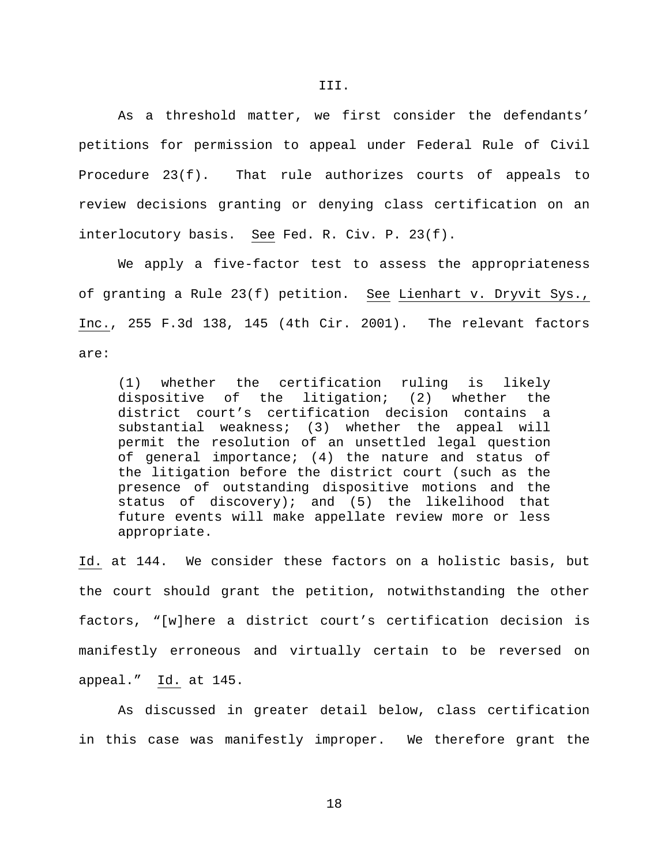As a threshold matter, we first consider the defendants' petitions for permission to appeal under Federal Rule of Civil Procedure 23(f). That rule authorizes courts of appeals to review decisions granting or denying class certification on an interlocutory basis. See Fed. R. Civ. P. 23(f).

We apply a five-factor test to assess the appropriateness of granting a Rule 23(f) petition. See Lienhart v. Dryvit Sys., Inc., 255 F.3d 138, 145 (4th Cir. 2001). The relevant factors are:

(1) whether the certification ruling is likely dispositive of the litigation; (2) whether the district court's certification decision contains a substantial weakness; (3) whether the appeal will permit the resolution of an unsettled legal question of general importance; (4) the nature and status of the litigation before the district court (such as the presence of outstanding dispositive motions and the status of discovery); and (5) the likelihood that future events will make appellate review more or less appropriate.

Id. at 144. We consider these factors on a holistic basis, but the court should grant the petition, notwithstanding the other factors, "[w]here a district court's certification decision is manifestly erroneous and virtually certain to be reversed on appeal." Id. at 145.

As discussed in greater detail below, class certification in this case was manifestly improper. We therefore grant the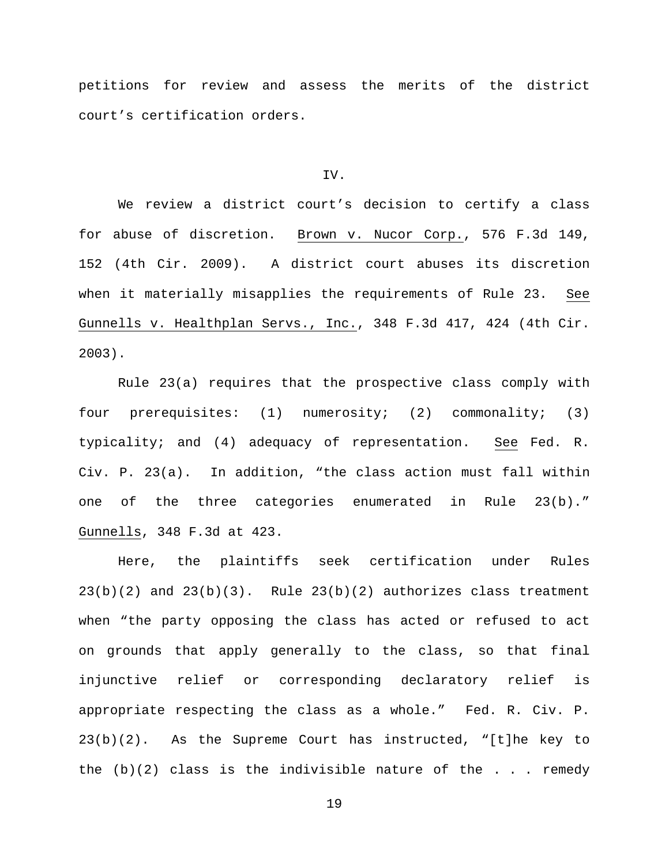petitions for review and assess the merits of the district court's certification orders.

#### IV.

We review a district court's decision to certify a class for abuse of discretion. Brown v. Nucor Corp., 576 F.3d 149, 152 (4th Cir. 2009). A district court abuses its discretion when it materially misapplies the requirements of Rule 23. See Gunnells v. Healthplan Servs., Inc., 348 F.3d 417, 424 (4th Cir. 2003).

Rule 23(a) requires that the prospective class comply with four prerequisites: (1) numerosity; (2) commonality; (3) typicality; and (4) adequacy of representation. See Fed. R. Civ. P. 23(a). In addition, "the class action must fall within one of the three categories enumerated in Rule 23(b)." Gunnells, 348 F.3d at 423.

Here, the plaintiffs seek certification under Rules  $23(b)(2)$  and  $23(b)(3)$ . Rule  $23(b)(2)$  authorizes class treatment when "the party opposing the class has acted or refused to act on grounds that apply generally to the class, so that final injunctive relief or corresponding declaratory relief is appropriate respecting the class as a whole." Fed. R. Civ. P. 23(b)(2). As the Supreme Court has instructed, "[t]he key to the  $(b)(2)$  class is the indivisible nature of the . . . remedy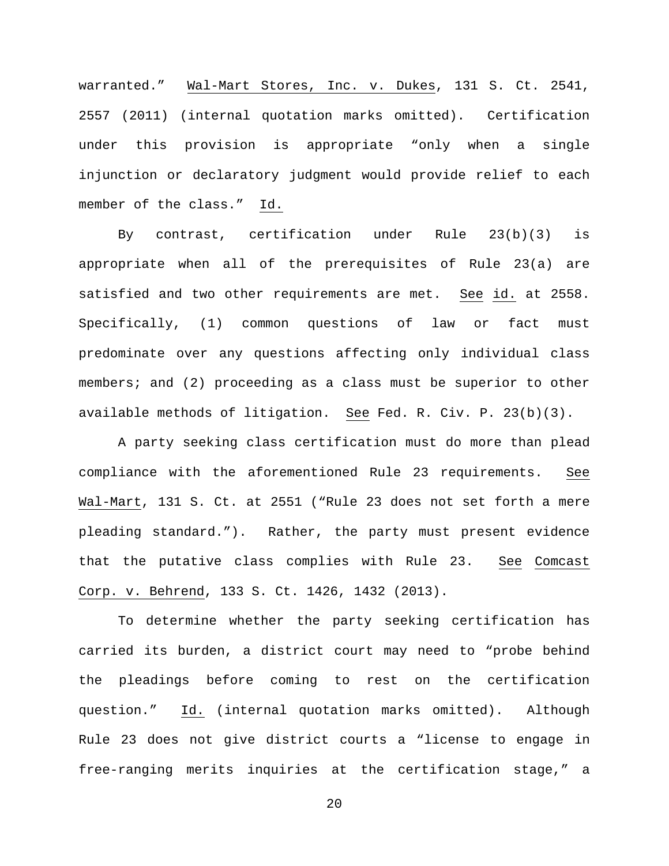warranted." Wal-Mart Stores, Inc. v. Dukes, 131 S. Ct. 2541, 2557 (2011) (internal quotation marks omitted). Certification under this provision is appropriate "only when a single injunction or declaratory judgment would provide relief to each member of the class." Id.

By contrast, certification under Rule 23(b)(3) is appropriate when all of the prerequisites of Rule 23(a) are satisfied and two other requirements are met. See id. at 2558. Specifically, (1) common questions of law or fact must predominate over any questions affecting only individual class members; and (2) proceeding as a class must be superior to other available methods of litigation. See Fed. R. Civ. P. 23(b)(3).

A party seeking class certification must do more than plead compliance with the aforementioned Rule 23 requirements. See Wal-Mart, 131 S. Ct. at 2551 ("Rule 23 does not set forth a mere pleading standard."). Rather, the party must present evidence that the putative class complies with Rule 23. See Comcast Corp. v. Behrend, 133 S. Ct. 1426, 1432 (2013).

To determine whether the party seeking certification has carried its burden, a district court may need to "probe behind the pleadings before coming to rest on the certification question." Id. (internal quotation marks omitted). Although Rule 23 does not give district courts a "license to engage in free-ranging merits inquiries at the certification stage," a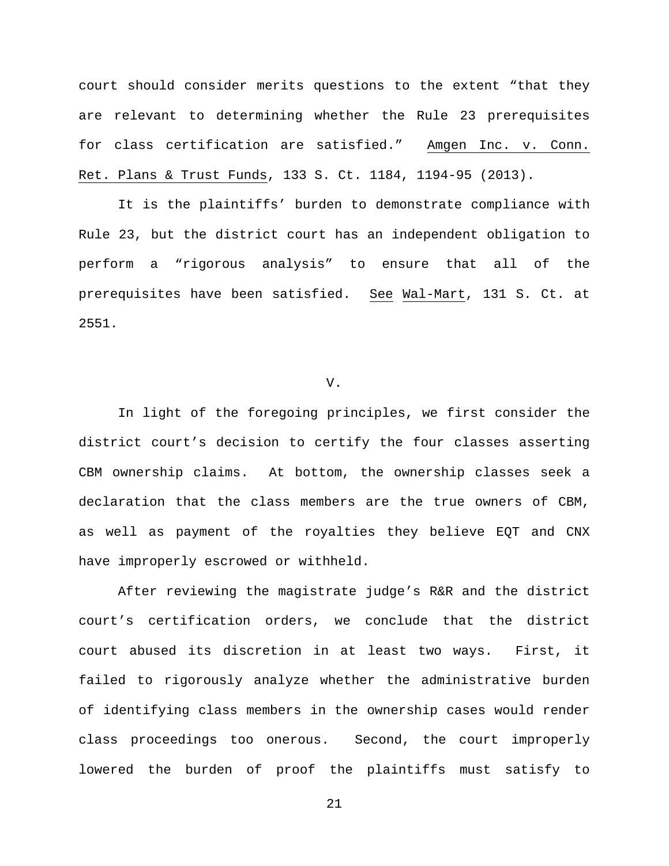court should consider merits questions to the extent "that they are relevant to determining whether the Rule 23 prerequisites for class certification are satisfied." Amgen Inc. v. Conn. Ret. Plans & Trust Funds, 133 S. Ct. 1184, 1194-95 (2013).

It is the plaintiffs' burden to demonstrate compliance with Rule 23, but the district court has an independent obligation to perform a "rigorous analysis" to ensure that all of the prerequisites have been satisfied. See Wal-Mart, 131 S. Ct. at 2551.

#### V.

In light of the foregoing principles, we first consider the district court's decision to certify the four classes asserting CBM ownership claims. At bottom, the ownership classes seek a declaration that the class members are the true owners of CBM, as well as payment of the royalties they believe EQT and CNX have improperly escrowed or withheld.

After reviewing the magistrate judge's R&R and the district court's certification orders, we conclude that the district court abused its discretion in at least two ways. First, it failed to rigorously analyze whether the administrative burden of identifying class members in the ownership cases would render class proceedings too onerous. Second, the court improperly lowered the burden of proof the plaintiffs must satisfy to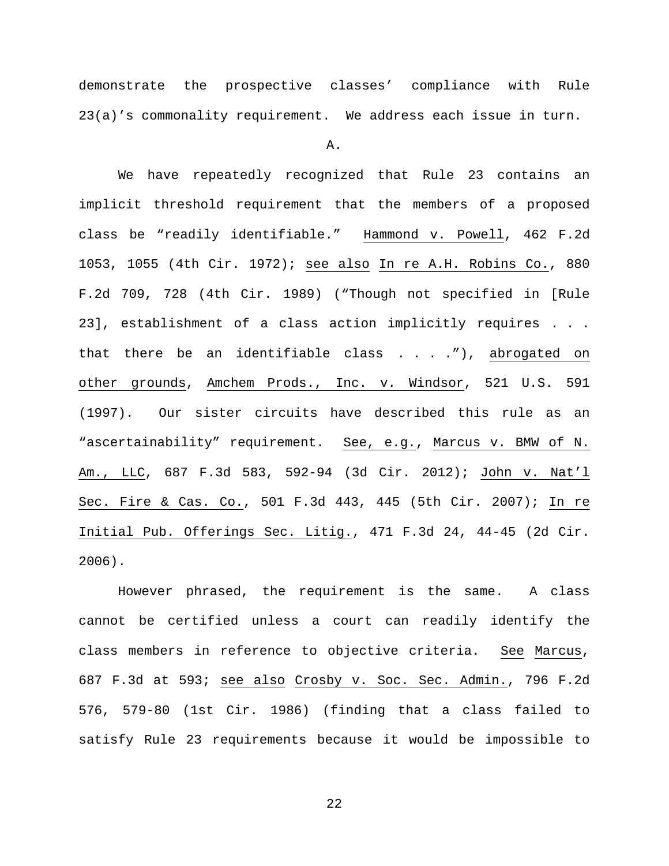demonstrate the prospective classes' compliance with Rule 23(a)'s commonality requirement. We address each issue in turn.

A.

We have repeatedly recognized that Rule 23 contains an implicit threshold requirement that the members of a proposed class be "readily identifiable." Hammond v. Powell, 462 F.2d 1053, 1055 (4th Cir. 1972); see also In re A.H. Robins Co., 880 F.2d 709, 728 (4th Cir. 1989) ("Though not specified in [Rule 23], establishment of a class action implicitly requires . . . that there be an identifiable class . . . ."), abrogated on other grounds, Amchem Prods., Inc. v. Windsor, 521 U.S. 591 (1997). Our sister circuits have described this rule as an "ascertainability" requirement. See, e.g., Marcus v. BMW of N. Am., LLC, 687 F.3d 583, 592-94 (3d Cir. 2012); John v. Nat'l Sec. Fire & Cas. Co., 501 F.3d 443, 445 (5th Cir. 2007); In re Initial Pub. Offerings Sec. Litig., 471 F.3d 24, 44-45 (2d Cir. 2006).

However phrased, the requirement is the same. A class cannot be certified unless a court can readily identify the class members in reference to objective criteria. See Marcus, 687 F.3d at 593; see also Crosby v. Soc. Sec. Admin., 796 F.2d 576, 579-80 (1st Cir. 1986) (finding that a class failed to satisfy Rule 23 requirements because it would be impossible to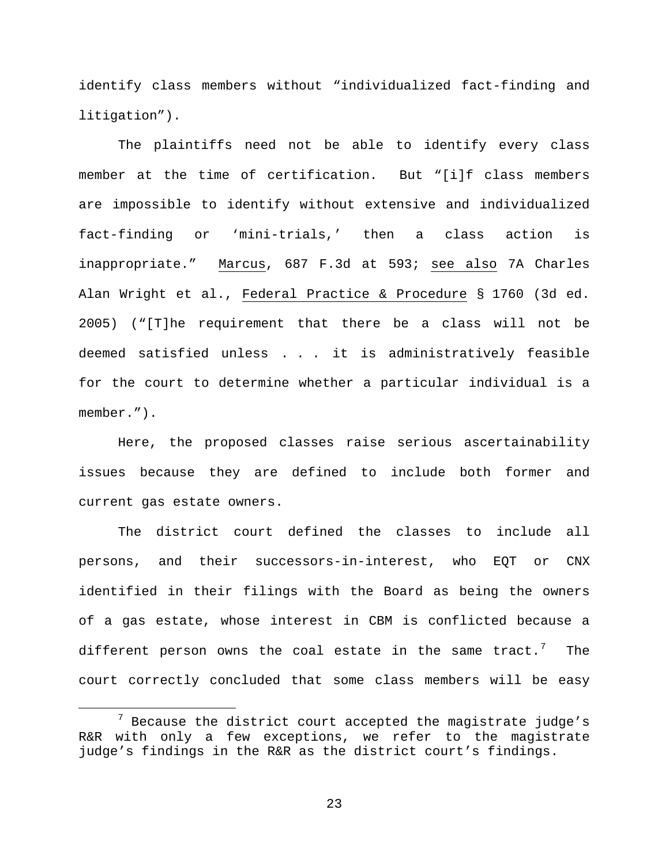identify class members without "individualized fact-finding and litigation").

The plaintiffs need not be able to identify every class member at the time of certification. But "[i]f class members are impossible to identify without extensive and individualized fact-finding or 'mini-trials,' then a class action is inappropriate." Marcus, 687 F.3d at 593; see also 7A Charles Alan Wright et al., Federal Practice & Procedure § 1760 (3d ed. 2005) ("[T]he requirement that there be a class will not be deemed satisfied unless . . . it is administratively feasible for the court to determine whether a particular individual is a member.").

Here, the proposed classes raise serious ascertainability issues because they are defined to include both former and current gas estate owners.

The district court defined the classes to include all persons, and their successors-in-interest, who EQT or CNX identified in their filings with the Board as being the owners of a gas estate, whose interest in CBM is conflicted because a different person owns the coal estate in the same tract.<sup>[7](#page-22-0)</sup> The court correctly concluded that some class members will be easy

<span id="page-22-0"></span> $7$  Because the district court accepted the magistrate judge's R&R with only a few exceptions, we refer to the magistrate judge's findings in the R&R as the district court's findings.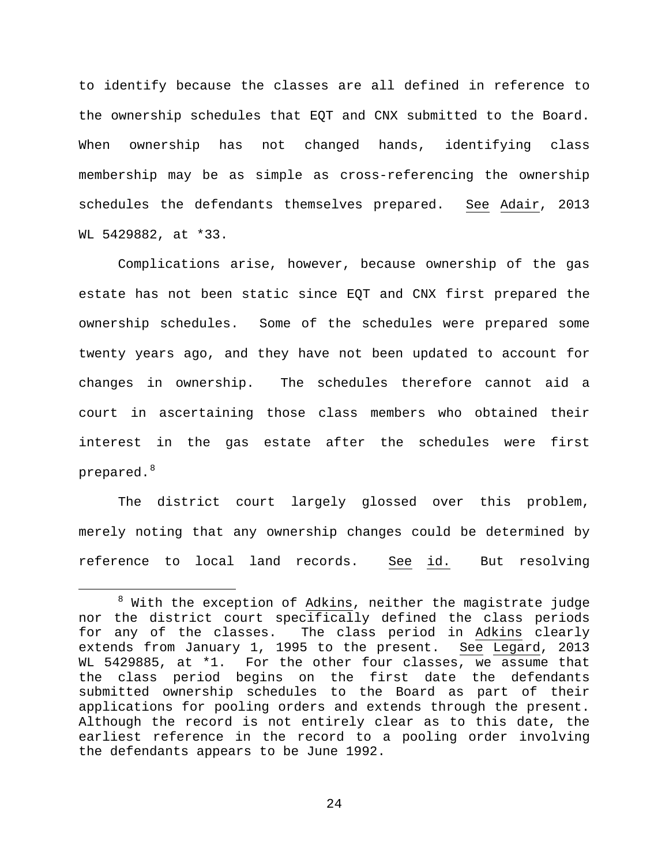to identify because the classes are all defined in reference to the ownership schedules that EQT and CNX submitted to the Board. When ownership has not changed hands, identifying class membership may be as simple as cross-referencing the ownership schedules the defendants themselves prepared. See Adair, 2013 WL 5429882, at \*33.

Complications arise, however, because ownership of the gas estate has not been static since EQT and CNX first prepared the ownership schedules. Some of the schedules were prepared some twenty years ago, and they have not been updated to account for changes in ownership. The schedules therefore cannot aid a court in ascertaining those class members who obtained their interest in the gas estate after the schedules were first prepared. $^8$  $^8$ 

The district court largely glossed over this problem, merely noting that any ownership changes could be determined by reference to local land records. See id. But resolving

<span id="page-23-0"></span> $8$  With the exception of Adkins, neither the magistrate judge nor the district court specifically defined the class periods for any of the classes. The class period in Adkins clearly extends from January 1, 1995 to the present. See Legard, 2013 WL 5429885, at \*1. For the other four classes, we assume that the class period begins on the first date the defendants submitted ownership schedules to the Board as part of their applications for pooling orders and extends through the present. Although the record is not entirely clear as to this date, the earliest reference in the record to a pooling order involving the defendants appears to be June 1992.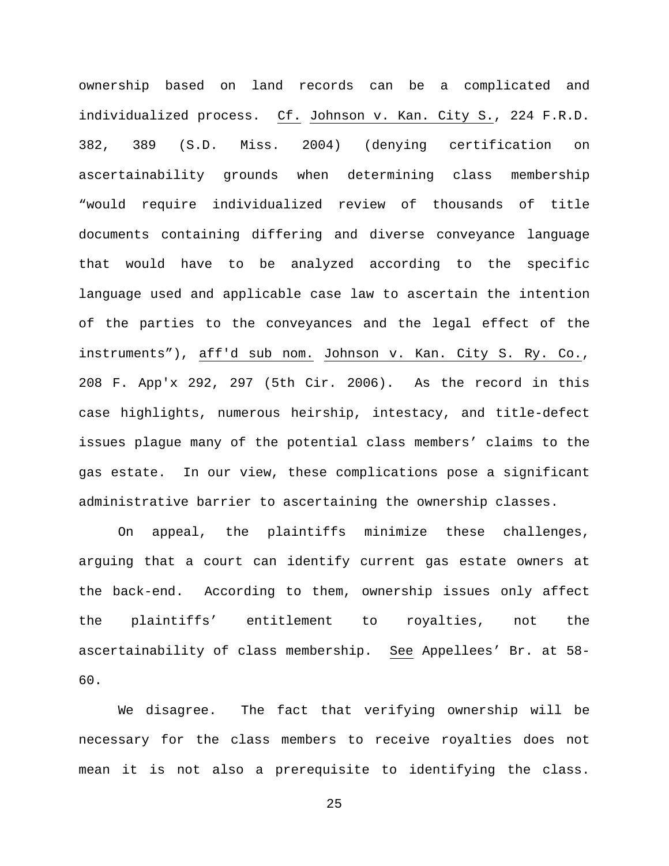ownership based on land records can be a complicated and individualized process. Cf. Johnson v. Kan. City S., 224 F.R.D. 382, 389 (S.D. Miss. 2004) (denying certification on ascertainability grounds when determining class membership "would require individualized review of thousands of title documents containing differing and diverse conveyance language that would have to be analyzed according to the specific language used and applicable case law to ascertain the intention of the parties to the conveyances and the legal effect of the instruments"), aff'd sub nom. Johnson v. Kan. City S. Ry. Co., 208 F. App'x 292, 297 (5th Cir. 2006). As the record in this case highlights, numerous heirship, intestacy, and title-defect issues plague many of the potential class members' claims to the gas estate. In our view, these complications pose a significant administrative barrier to ascertaining the ownership classes.

On appeal, the plaintiffs minimize these challenges, arguing that a court can identify current gas estate owners at the back-end. According to them, ownership issues only affect the plaintiffs' entitlement to royalties, not the ascertainability of class membership. See Appellees' Br. at 58- 60.

We disagree. The fact that verifying ownership will be necessary for the class members to receive royalties does not mean it is not also a prerequisite to identifying the class.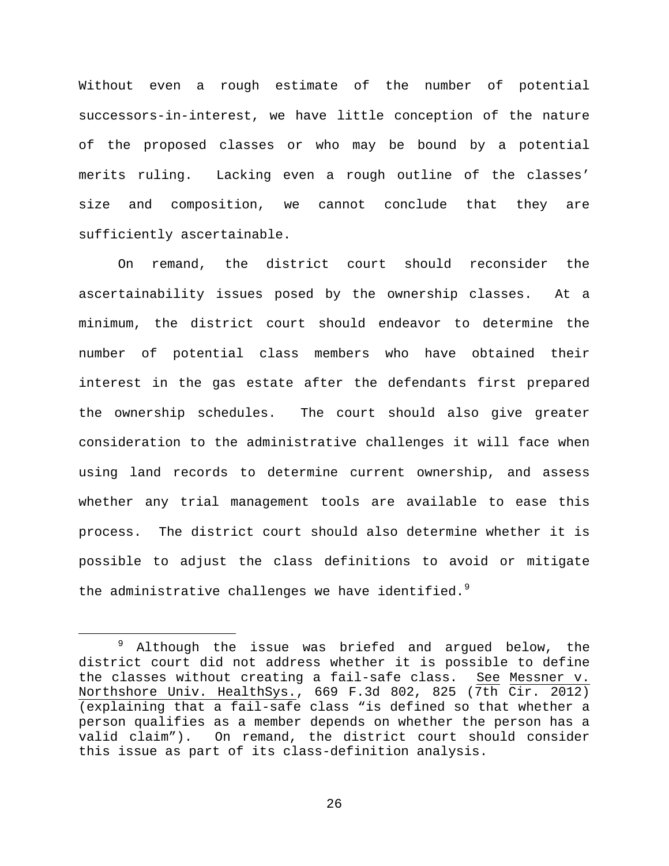Without even a rough estimate of the number of potential successors-in-interest, we have little conception of the nature of the proposed classes or who may be bound by a potential merits ruling. Lacking even a rough outline of the classes' size and composition, we cannot conclude that they are sufficiently ascertainable.

On remand, the district court should reconsider the ascertainability issues posed by the ownership classes. At a minimum, the district court should endeavor to determine the number of potential class members who have obtained their interest in the gas estate after the defendants first prepared the ownership schedules. The court should also give greater consideration to the administrative challenges it will face when using land records to determine current ownership, and assess whether any trial management tools are available to ease this process. The district court should also determine whether it is possible to adjust the class definitions to avoid or mitigate the administrative challenges we have identified. $^9$  $^9$ 

<span id="page-25-0"></span><sup>&</sup>lt;sup>9</sup> Although the issue was briefed and argued below, the district court did not address whether it is possible to define the classes without creating a fail-safe class. See Messner v. Northshore Univ. HealthSys., 669 F.3d 802, 825 (7th Cir. 2012) (explaining that a fail-safe class "is defined so that whether a person qualifies as a member depends on whether the person has a valid claim"). On remand, the district court should consider this issue as part of its class-definition analysis.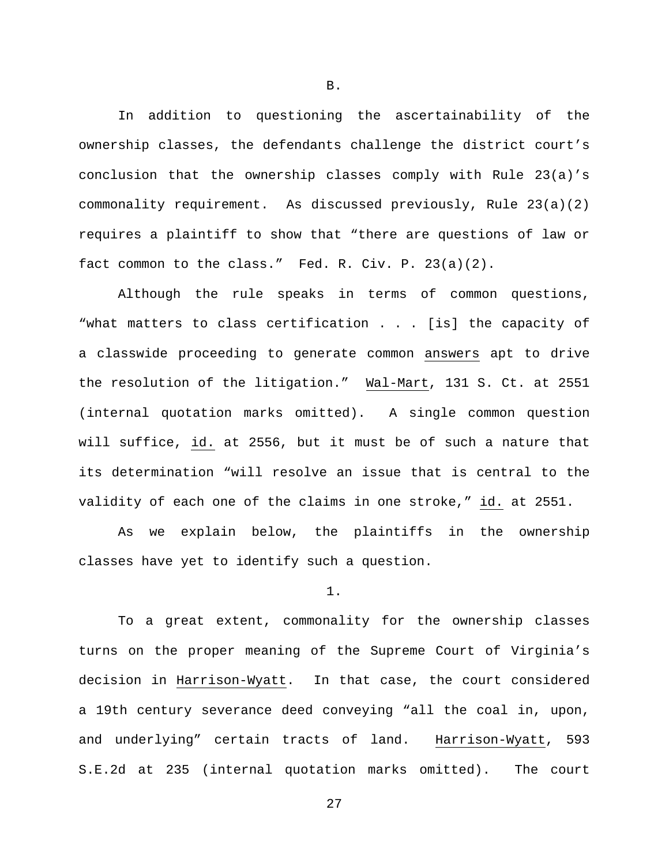In addition to questioning the ascertainability of the ownership classes, the defendants challenge the district court's conclusion that the ownership classes comply with Rule 23(a)'s commonality requirement. As discussed previously, Rule 23(a)(2) requires a plaintiff to show that "there are questions of law or fact common to the class." Fed. R. Civ. P. 23(a)(2).

Although the rule speaks in terms of common questions, "what matters to class certification . . . [is] the capacity of a classwide proceeding to generate common answers apt to drive the resolution of the litigation." Wal-Mart, 131 S. Ct. at 2551 (internal quotation marks omitted). A single common question will suffice, id. at 2556, but it must be of such a nature that its determination "will resolve an issue that is central to the validity of each one of the claims in one stroke," id. at 2551.

As we explain below, the plaintiffs in the ownership classes have yet to identify such a question.

1.

To a great extent, commonality for the ownership classes turns on the proper meaning of the Supreme Court of Virginia's decision in Harrison-Wyatt. In that case, the court considered a 19th century severance deed conveying "all the coal in, upon, and underlying" certain tracts of land. Harrison-Wyatt, 593 S.E.2d at 235 (internal quotation marks omitted). The court

B.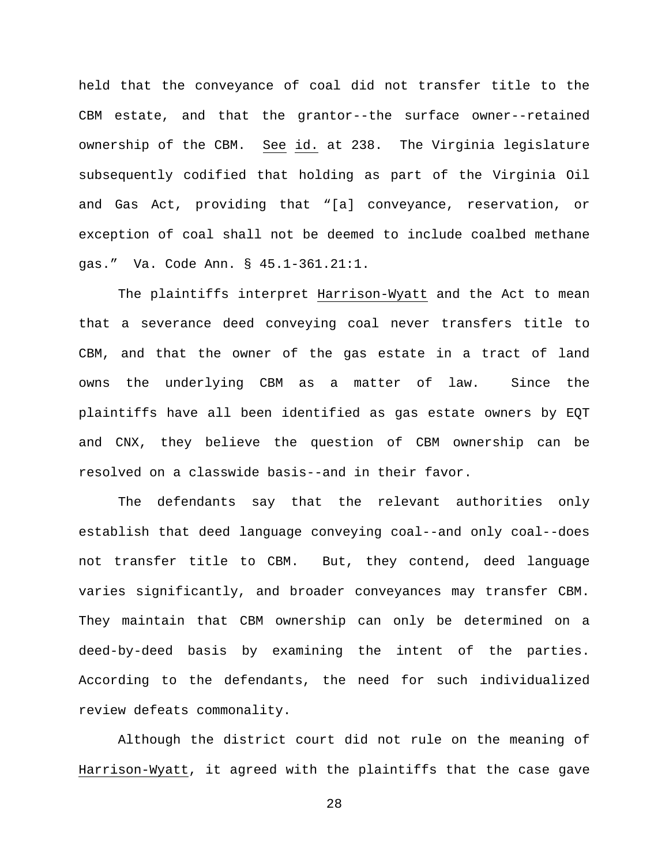held that the conveyance of coal did not transfer title to the CBM estate, and that the grantor--the surface owner--retained ownership of the CBM. See id. at 238. The Virginia legislature subsequently codified that holding as part of the Virginia Oil and Gas Act, providing that "[a] conveyance, reservation, or exception of coal shall not be deemed to include coalbed methane gas." Va. Code Ann. § 45.1-361.21:1.

The plaintiffs interpret Harrison-Wyatt and the Act to mean that a severance deed conveying coal never transfers title to CBM, and that the owner of the gas estate in a tract of land owns the underlying CBM as a matter of law. Since the plaintiffs have all been identified as gas estate owners by EQT and CNX, they believe the question of CBM ownership can be resolved on a classwide basis--and in their favor.

The defendants say that the relevant authorities only establish that deed language conveying coal--and only coal--does not transfer title to CBM. But, they contend, deed language varies significantly, and broader conveyances may transfer CBM. They maintain that CBM ownership can only be determined on a deed-by-deed basis by examining the intent of the parties. According to the defendants, the need for such individualized review defeats commonality.

Although the district court did not rule on the meaning of Harrison-Wyatt, it agreed with the plaintiffs that the case gave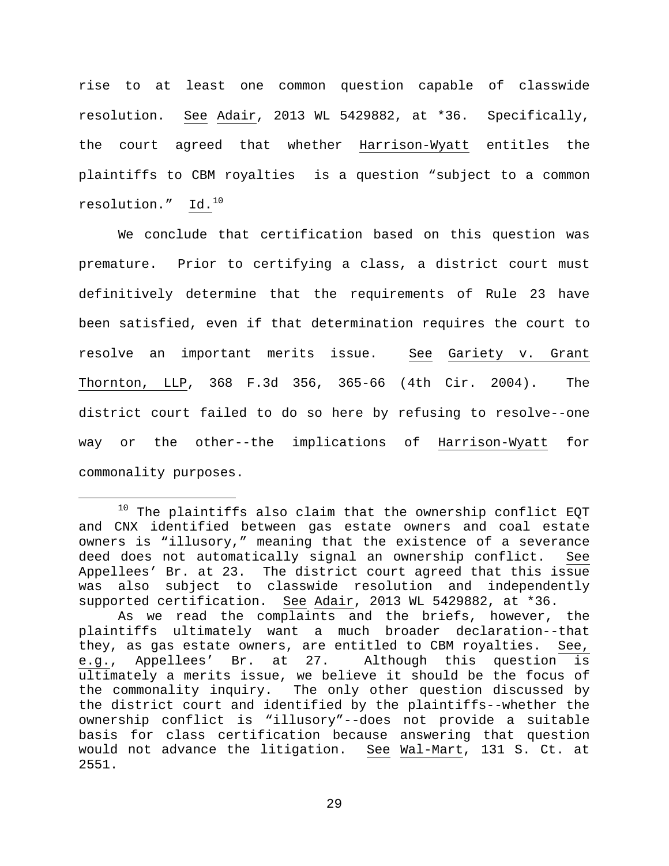rise to at least one common question capable of classwide resolution. See Adair, 2013 WL 5429882, at \*36. Specifically, the court agreed that whether Harrison-Wyatt entitles the plaintiffs to CBM royalties is a question "subject to a common resolution."  $Id.^{10}$  $Id.^{10}$  $Id.^{10}$ 

We conclude that certification based on this question was premature. Prior to certifying a class, a district court must definitively determine that the requirements of Rule 23 have been satisfied, even if that determination requires the court to resolve an important merits issue. See Gariety v. Grant Thornton, LLP, 368 F.3d 356, 365-66 (4th Cir. 2004). The district court failed to do so here by refusing to resolve--one way or the other--the implications of Harrison-Wyatt for commonality purposes.

<span id="page-28-0"></span> $10$  The plaintiffs also claim that the ownership conflict EQT and CNX identified between gas estate owners and coal estate owners is "illusory," meaning that the existence of a severance deed does not automatically signal an ownership conflict. See Appellees' Br. at 23. The district court agreed that this issue was also subject to classwide resolution and independently supported certification. See Adair, 2013 WL 5429882, at \*36.

As we read the complaints and the briefs, however, the plaintiffs ultimately want a much broader declaration--that<br>they, as gas estate owners, are entitled to CBM royalties. See, they, as gas estate owners, are entitled to CBM royalties. See,<br>e.g., Appellees' Br. at 27. Although this question is e.g., Appellees' Br. at 27. ultimately a merits issue, we believe it should be the focus of the commonality inquiry. The only other question discussed by the district court and identified by the plaintiffs--whether the ownership conflict is "illusory"--does not provide a suitable basis for class certification because answering that question would not advance the litigation. See Wal-Mart, 131 S. Ct. at 2551.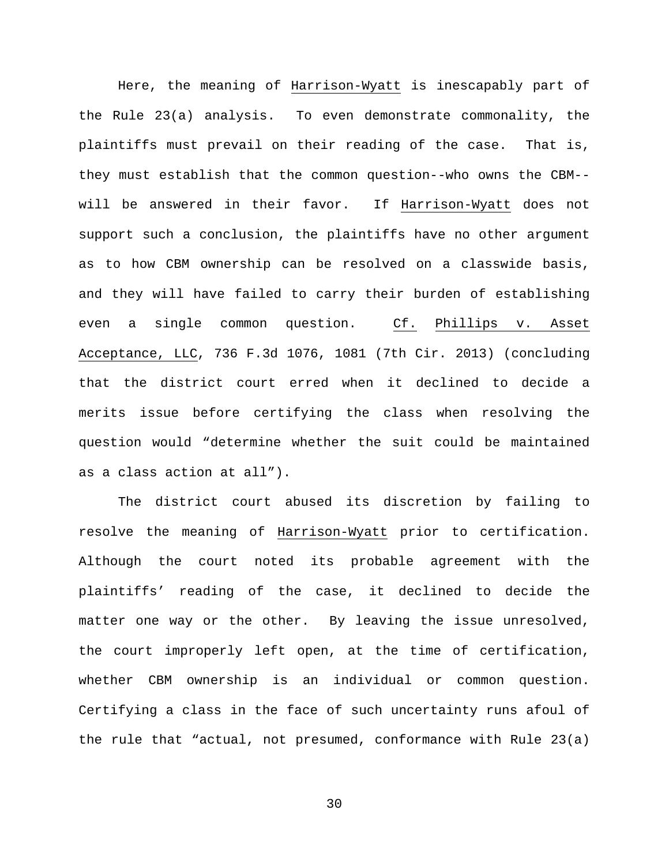Here, the meaning of Harrison-Wyatt is inescapably part of the Rule 23(a) analysis. To even demonstrate commonality, the plaintiffs must prevail on their reading of the case. That is, they must establish that the common question--who owns the CBM- will be answered in their favor. If Harrison-Wyatt does not support such a conclusion, the plaintiffs have no other argument as to how CBM ownership can be resolved on a classwide basis, and they will have failed to carry their burden of establishing even a single common question. Cf. Phillips v. Asset Acceptance, LLC, 736 F.3d 1076, 1081 (7th Cir. 2013) (concluding that the district court erred when it declined to decide a merits issue before certifying the class when resolving the question would "determine whether the suit could be maintained as a class action at all").

The district court abused its discretion by failing to resolve the meaning of Harrison-Wyatt prior to certification. Although the court noted its probable agreement with the plaintiffs' reading of the case, it declined to decide the matter one way or the other. By leaving the issue unresolved, the court improperly left open, at the time of certification, whether CBM ownership is an individual or common question. Certifying a class in the face of such uncertainty runs afoul of the rule that "actual, not presumed, conformance with Rule 23(a)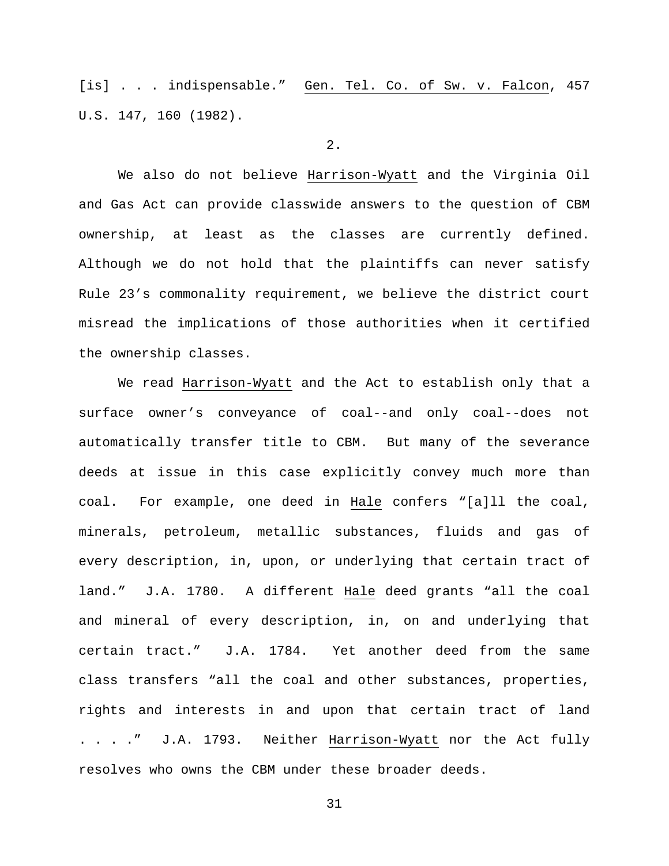[is] . . . indispensable." Gen. Tel. Co. of Sw. v. Falcon, 457 U.S. 147, 160 (1982).

### 2.

We also do not believe Harrison-Wyatt and the Virginia Oil and Gas Act can provide classwide answers to the question of CBM ownership, at least as the classes are currently defined. Although we do not hold that the plaintiffs can never satisfy Rule 23's commonality requirement, we believe the district court misread the implications of those authorities when it certified the ownership classes.

We read Harrison-Wyatt and the Act to establish only that a surface owner's conveyance of coal--and only coal--does not automatically transfer title to CBM. But many of the severance deeds at issue in this case explicitly convey much more than coal. For example, one deed in Hale confers "[a]ll the coal, minerals, petroleum, metallic substances, fluids and gas of every description, in, upon, or underlying that certain tract of land." J.A. 1780. A different Hale deed grants "all the coal and mineral of every description, in, on and underlying that certain tract." J.A. 1784. Yet another deed from the same class transfers "all the coal and other substances, properties, rights and interests in and upon that certain tract of land . . . ." J.A. 1793. Neither Harrison-Wyatt nor the Act fully resolves who owns the CBM under these broader deeds.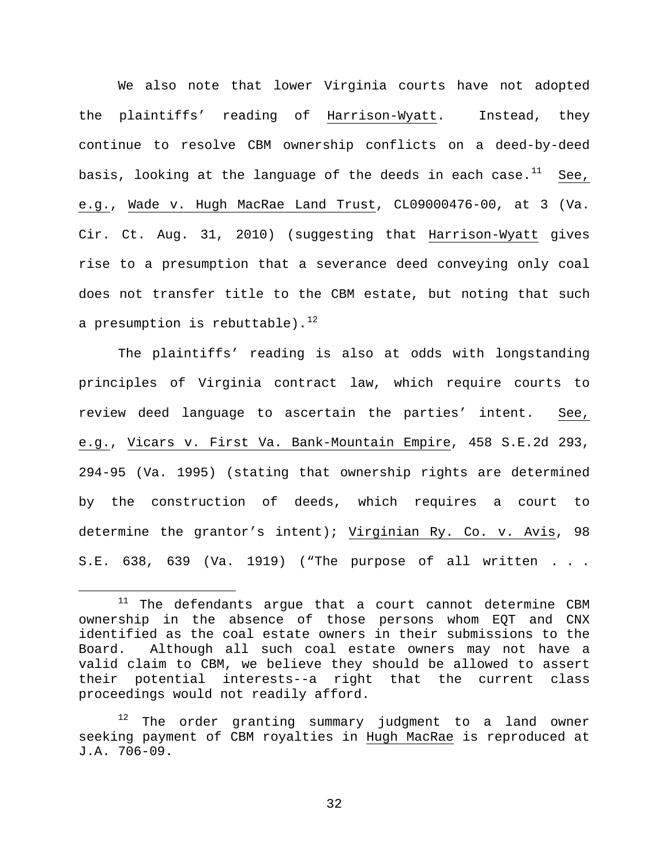We also note that lower Virginia courts have not adopted the plaintiffs' reading of Harrison-Wyatt. Instead, they continue to resolve CBM ownership conflicts on a deed-by-deed basis, looking at the language of the deeds in each case.<sup>[11](#page-31-0)</sup> See, e.g., Wade v. Hugh MacRae Land Trust, CL09000476-00, at 3 (Va. Cir. Ct. Aug. 31, 2010) (suggesting that Harrison-Wyatt gives rise to a presumption that a severance deed conveying only coal does not transfer title to the CBM estate, but noting that such a presumption is rebuttable). $^{12}$  $^{12}$  $^{12}$ 

The plaintiffs' reading is also at odds with longstanding principles of Virginia contract law, which require courts to review deed language to ascertain the parties' intent. See, e.g., Vicars v. First Va. Bank-Mountain Empire, 458 S.E.2d 293, 294-95 (Va. 1995) (stating that ownership rights are determined by the construction of deeds, which requires a court to determine the grantor's intent); Virginian Ry. Co. v. Avis, 98 S.E. 638, 639 (Va. 1919) ("The purpose of all written . . .

<span id="page-31-0"></span> $11$  The defendants argue that a court cannot determine CBM ownership in the absence of those persons whom EQT and CNX identified as the coal estate owners in their submissions to the Board. Although all such coal estate owners may not have a valid claim to CBM, we believe they should be allowed to assert their potential interests--a right that the current class proceedings would not readily afford.

<span id="page-31-1"></span> $12$  The order granting summary judgment to a land owner seeking payment of CBM royalties in Hugh MacRae is reproduced at J.A. 706-09.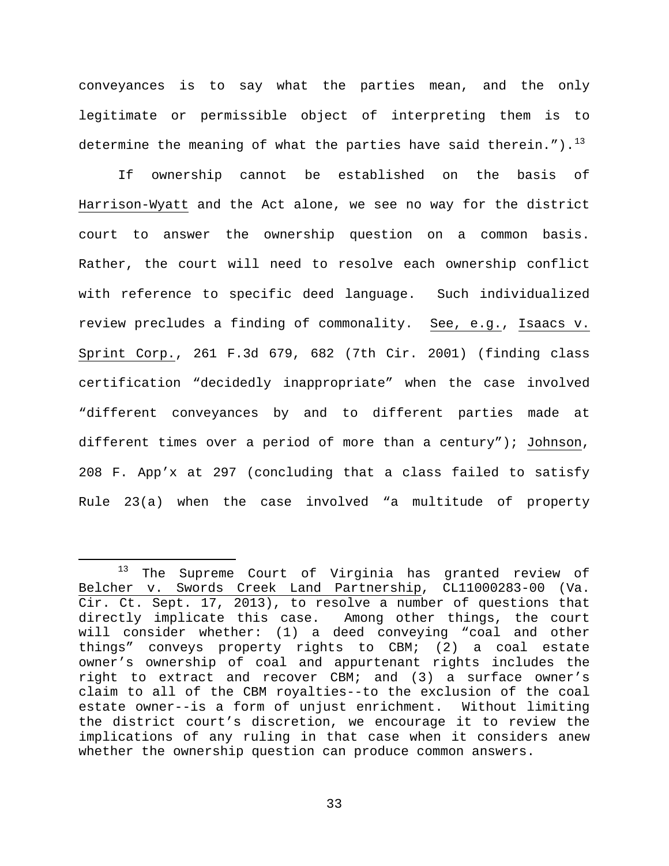conveyances is to say what the parties mean, and the only legitimate or permissible object of interpreting them is to determine the meaning of what the parties have said therein.").<sup>[13](#page-32-0)</sup>

If ownership cannot be established on the basis of Harrison-Wyatt and the Act alone, we see no way for the district court to answer the ownership question on a common basis. Rather, the court will need to resolve each ownership conflict with reference to specific deed language. Such individualized review precludes a finding of commonality. See, e.g., Isaacs v. Sprint Corp., 261 F.3d 679, 682 (7th Cir. 2001) (finding class certification "decidedly inappropriate" when the case involved "different conveyances by and to different parties made at different times over a period of more than a century"); Johnson, 208 F. App'x at 297 (concluding that a class failed to satisfy Rule 23(a) when the case involved "a multitude of property

<span id="page-32-0"></span> <sup>13</sup> The Supreme Court of Virginia has granted review of Belcher v. Swords Creek Land Partnership, CL11000283-00 (Va. Cir. Ct. Sept. 17, 2013), to resolve a number of questions that<br>directly implicate this case. Among other things, the court directly implicate this case. will consider whether: (1) a deed conveying "coal and other things" conveys property rights to CBM; (2) a coal estate owner's ownership of coal and appurtenant rights includes the right to extract and recover CBM; and (3) a surface owner's claim to all of the CBM royalties--to the exclusion of the coal estate owner--is a form of unjust enrichment. Without limiting the district court's discretion, we encourage it to review the implications of any ruling in that case when it considers anew whether the ownership question can produce common answers.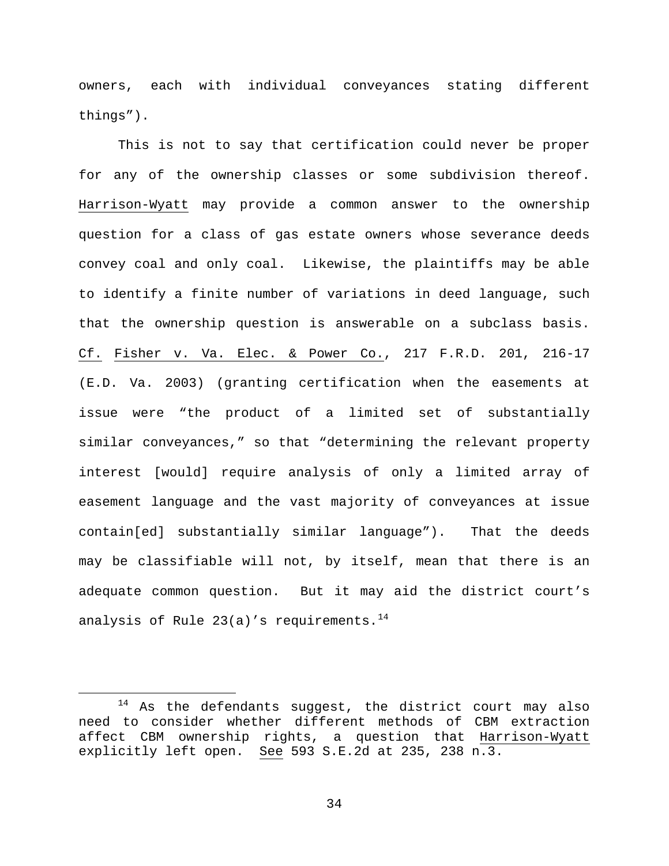owners, each with individual conveyances stating different things").

This is not to say that certification could never be proper for any of the ownership classes or some subdivision thereof. Harrison-Wyatt may provide a common answer to the ownership question for a class of gas estate owners whose severance deeds convey coal and only coal. Likewise, the plaintiffs may be able to identify a finite number of variations in deed language, such that the ownership question is answerable on a subclass basis. Cf. Fisher v. Va. Elec. & Power Co., 217 F.R.D. 201, 216-17 (E.D. Va. 2003) (granting certification when the easements at issue were "the product of a limited set of substantially similar conveyances," so that "determining the relevant property interest [would] require analysis of only a limited array of easement language and the vast majority of conveyances at issue contain[ed] substantially similar language"). That the deeds may be classifiable will not, by itself, mean that there is an adequate common question. But it may aid the district court's analysis of Rule 23(a)'s requirements.<sup>14</sup>

<span id="page-33-0"></span> $14$  As the defendants suggest, the district court may also need to consider whether different methods of CBM extraction affect CBM ownership rights, a question that Harrison-Wyatt explicitly left open. See 593 S.E.2d at 235, 238 n.3.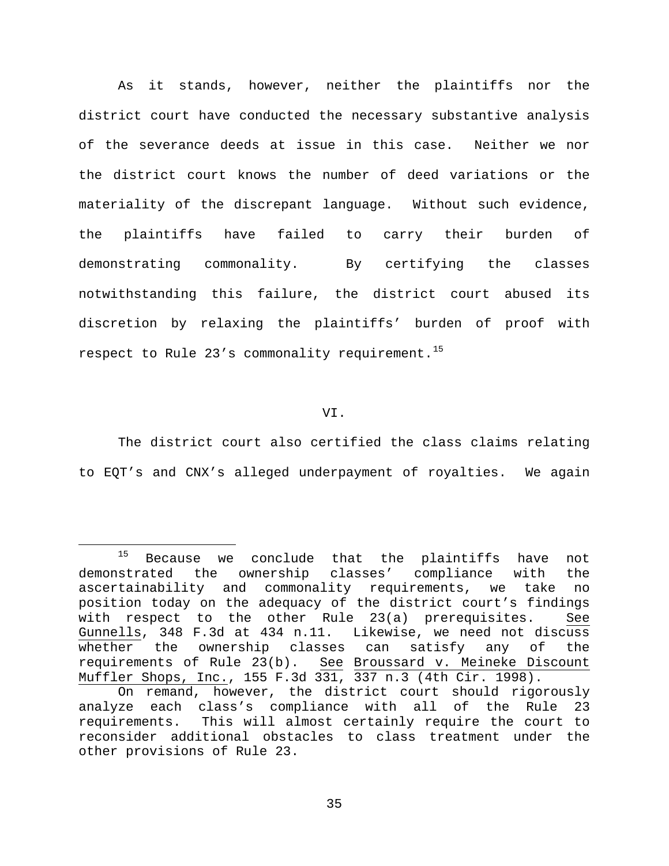As it stands, however, neither the plaintiffs nor the district court have conducted the necessary substantive analysis of the severance deeds at issue in this case. Neither we nor the district court knows the number of deed variations or the materiality of the discrepant language. Without such evidence, the plaintiffs have failed to carry their burden of demonstrating commonality. By certifying the classes notwithstanding this failure, the district court abused its discretion by relaxing the plaintiffs' burden of proof with respect to Rule 23's commonality requirement.<sup>[15](#page-34-0)</sup>

VI.

The district court also certified the class claims relating to EQT's and CNX's alleged underpayment of royalties. We again

<span id="page-34-0"></span><sup>&</sup>lt;sup>15</sup> Because we conclude that the plaintiffs have not demonstrated the ownership classes' compliance with the<br>ascertainability and commonality requirements, we take no ascertainability and commonality requirements, we take no position today on the adequacy of the district court's findings with respect to the other Rule 23(a) prerequisites. See Gunnells, 348 F.3d at 434 n.11. Likewise, we need not discuss whether the ownership classes can satisfy any of the requirements of Rule 23(b). See Broussard v. Meineke Discount Muffler Shops, Inc., 155 F.3d 331, 337 n.3 (4th Cir. 1998).

On remand, however, the district court should rigorously analyze each class's compliance with all of the Rule 23 requirements. This will almost certainly require the court to reconsider additional obstacles to class treatment under the other provisions of Rule 23.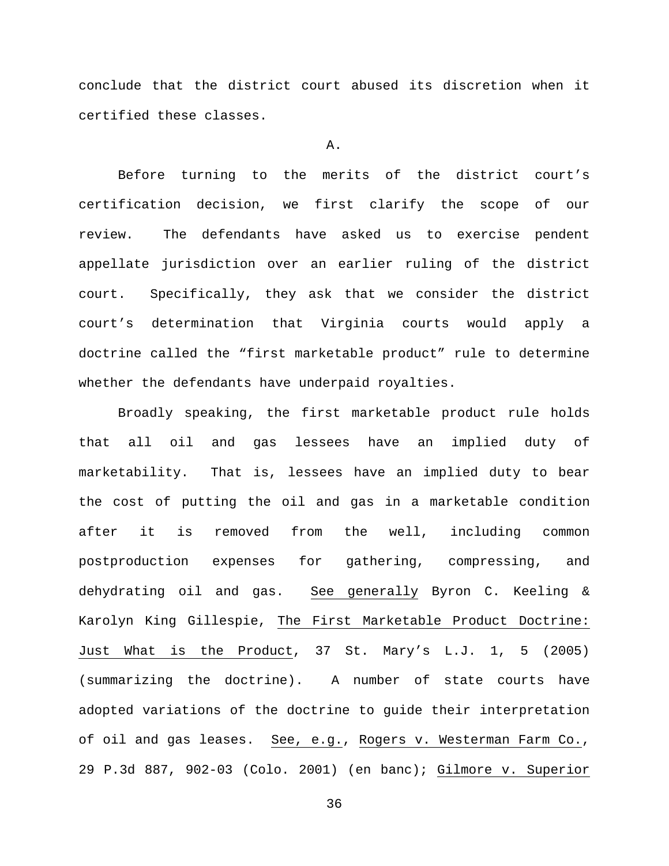conclude that the district court abused its discretion when it certified these classes.

### A.

Before turning to the merits of the district court's certification decision, we first clarify the scope of our review. The defendants have asked us to exercise pendent appellate jurisdiction over an earlier ruling of the district court. Specifically, they ask that we consider the district court's determination that Virginia courts would apply a doctrine called the "first marketable product" rule to determine whether the defendants have underpaid royalties.

Broadly speaking, the first marketable product rule holds that all oil and gas lessees have an implied duty of marketability. That is, lessees have an implied duty to bear the cost of putting the oil and gas in a marketable condition after it is removed from the well, including common postproduction expenses for gathering, compressing, and dehydrating oil and gas. See generally Byron C. Keeling & Karolyn King Gillespie, The First Marketable Product Doctrine: Just What is the Product, 37 St. Mary's L.J. 1, 5 (2005) (summarizing the doctrine). A number of state courts have adopted variations of the doctrine to guide their interpretation of oil and gas leases. See, e.g., Rogers v. Westerman Farm Co., 29 P.3d 887, 902-03 (Colo. 2001) (en banc); Gilmore v. Superior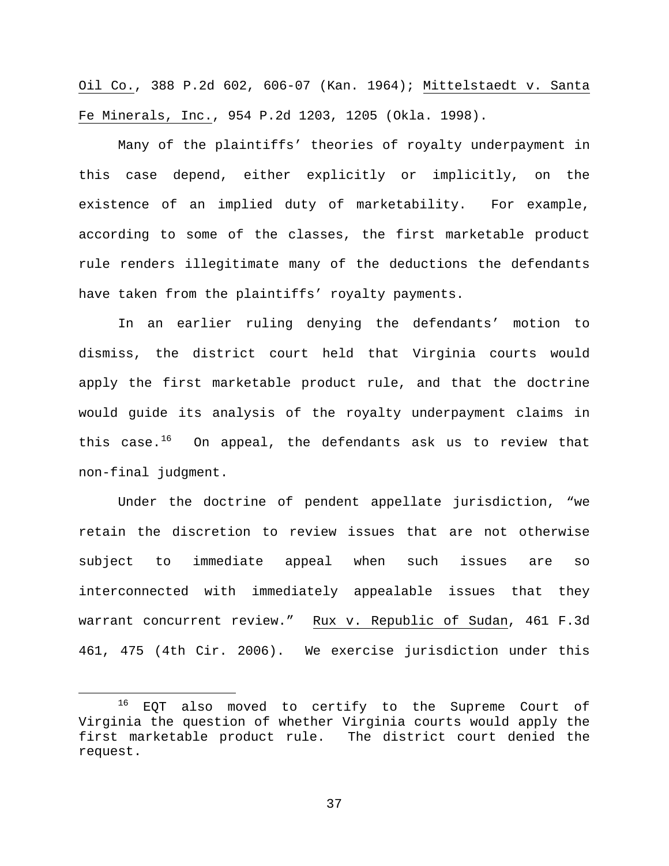Oil Co., 388 P.2d 602, 606-07 (Kan. 1964); Mittelstaedt v. Santa Fe Minerals, Inc., 954 P.2d 1203, 1205 (Okla. 1998).

Many of the plaintiffs' theories of royalty underpayment in this case depend, either explicitly or implicitly, on the existence of an implied duty of marketability. For example, according to some of the classes, the first marketable product rule renders illegitimate many of the deductions the defendants have taken from the plaintiffs' royalty payments.

In an earlier ruling denying the defendants' motion to dismiss, the district court held that Virginia courts would apply the first marketable product rule, and that the doctrine would guide its analysis of the royalty underpayment claims in this case. $16$  On appeal, the defendants ask us to review that non-final judgment.

Under the doctrine of pendent appellate jurisdiction, "we retain the discretion to review issues that are not otherwise subject to immediate appeal when such issues are so interconnected with immediately appealable issues that they warrant concurrent review." Rux v. Republic of Sudan, 461 F.3d 461, 475 (4th Cir. 2006). We exercise jurisdiction under this

<span id="page-36-0"></span> <sup>16</sup> EQT also moved to certify to the Supreme Court of Virginia the question of whether Virginia courts would apply the first marketable product rule. The district court denied the request.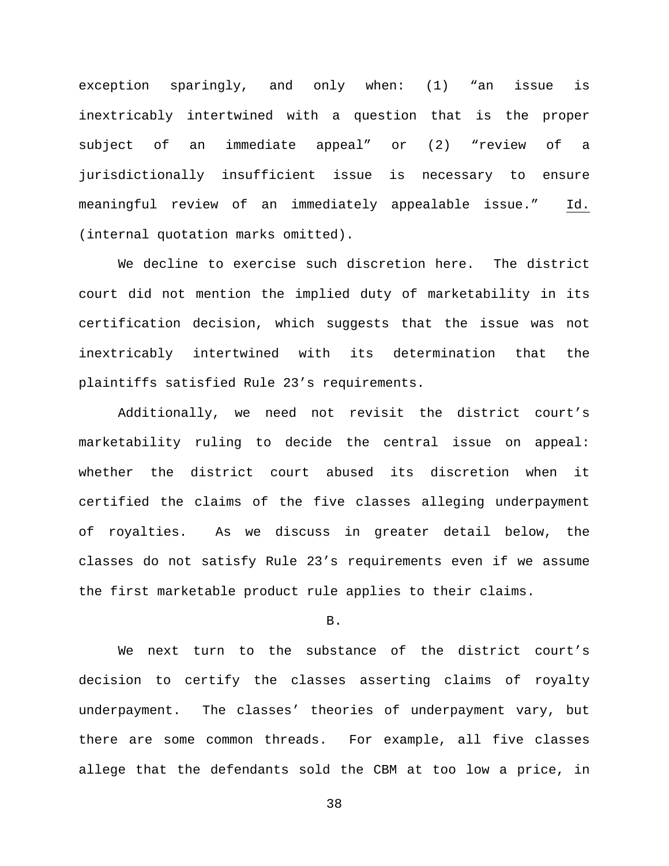exception sparingly, and only when: (1) "an issue is inextricably intertwined with a question that is the proper subject of an immediate appeal" or (2) "review of a jurisdictionally insufficient issue is necessary to ensure meaningful review of an immediately appealable issue." Id. (internal quotation marks omitted).

We decline to exercise such discretion here. The district court did not mention the implied duty of marketability in its certification decision, which suggests that the issue was not inextricably intertwined with its determination that the plaintiffs satisfied Rule 23's requirements.

Additionally, we need not revisit the district court's marketability ruling to decide the central issue on appeal: whether the district court abused its discretion when it certified the claims of the five classes alleging underpayment of royalties. As we discuss in greater detail below, the classes do not satisfy Rule 23's requirements even if we assume the first marketable product rule applies to their claims.

### B.

We next turn to the substance of the district court's decision to certify the classes asserting claims of royalty underpayment. The classes' theories of underpayment vary, but there are some common threads. For example, all five classes allege that the defendants sold the CBM at too low a price, in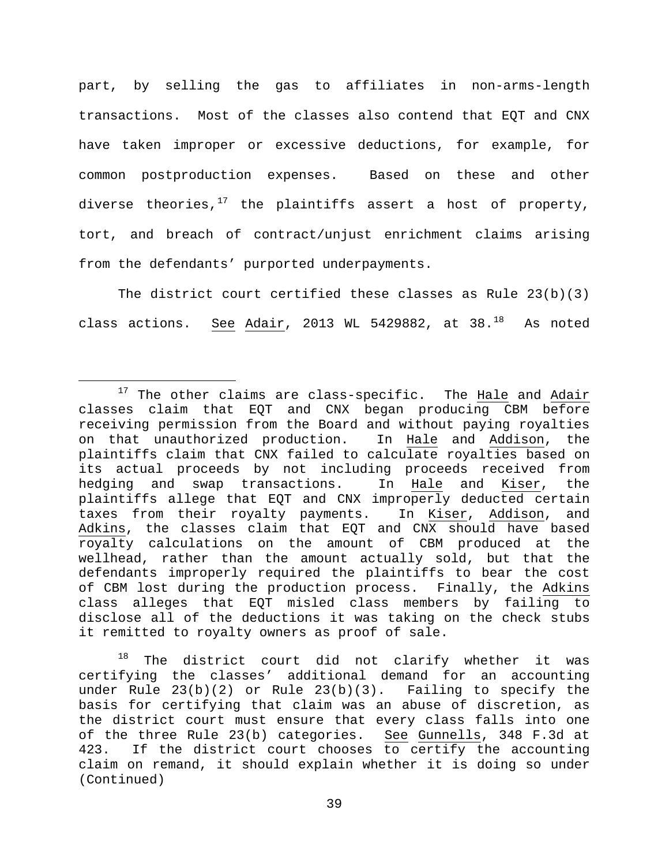part, by selling the gas to affiliates in non-arms-length transactions. Most of the classes also contend that EQT and CNX have taken improper or excessive deductions, for example, for common postproduction expenses. Based on these and other diverse theories, $17$  the plaintiffs assert a host of property, tort, and breach of contract/unjust enrichment claims arising from the defendants' purported underpayments.

The district court certified these classes as Rule  $23(b)(3)$ class actions. See Adair, 2013 WL 5429882, at 38. $^{18}$  As noted

<span id="page-38-1"></span> $18$  The district court did not clarify whether it was certifying the classes' additional demand for an accounting under Rule  $23(b)(2)$  or Rule  $23(b)(3)$ . Failing to specify the basis for certifying that claim was an abuse of discretion, as the district court must ensure that every class falls into one of the three Rule 23(b) categories. See Gunnells, 348 F.3d at 423. If the district court chooses to certify the accounting claim on remand, it should explain whether it is doing so under (Continued)

<span id="page-38-0"></span> $17$  The other claims are class-specific. The  $H$ ale and  $Adair$ classes claim that EQT and CNX began producing CBM before receiving permission from the Board and without paying royalties on that unauthorized production. In Hale and Addison, the plaintiffs claim that CNX failed to calculate royalties based on its actual proceeds by not including proceeds received from hedging and swap transactions. In Hale and Kiser, the plaintiffs allege that EQT and CNX improperly deducted certain taxes from their royalty payments. In Kiser, Addison, and Adkins, the classes claim that EQT and CNX should have based royalty calculations on the amount of CBM produced at the wellhead, rather than the amount actually sold, but that the defendants improperly required the plaintiffs to bear the cost of CBM lost during the production process. Finally, the Adkins class alleges that EQT misled class members by failing to disclose all of the deductions it was taking on the check stubs it remitted to royalty owners as proof of sale.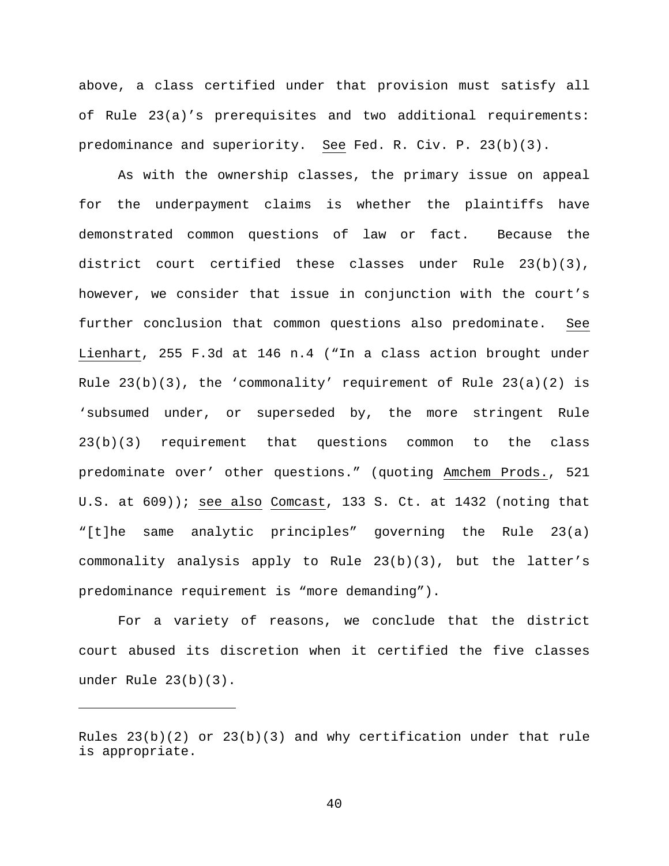above, a class certified under that provision must satisfy all of Rule 23(a)'s prerequisites and two additional requirements: predominance and superiority. See Fed. R. Civ. P. 23(b)(3).

As with the ownership classes, the primary issue on appeal for the underpayment claims is whether the plaintiffs have demonstrated common questions of law or fact. Because the district court certified these classes under Rule 23(b)(3), however, we consider that issue in conjunction with the court's further conclusion that common questions also predominate. See Lienhart, 255 F.3d at 146 n.4 ("In a class action brought under Rule  $23(b)(3)$ , the 'commonality' requirement of Rule  $23(a)(2)$  is 'subsumed under, or superseded by, the more stringent Rule 23(b)(3) requirement that questions common to the class predominate over' other questions." (quoting Amchem Prods., 521 U.S. at 609)); see also Comcast, 133 S. Ct. at 1432 (noting that "[t]he same analytic principles" governing the Rule 23(a) commonality analysis apply to Rule 23(b)(3), but the latter's predominance requirement is "more demanding").

For a variety of reasons, we conclude that the district court abused its discretion when it certified the five classes under Rule 23(b)(3).

Ĩ.

Rules  $23(b)(2)$  or  $23(b)(3)$  and why certification under that rule is appropriate.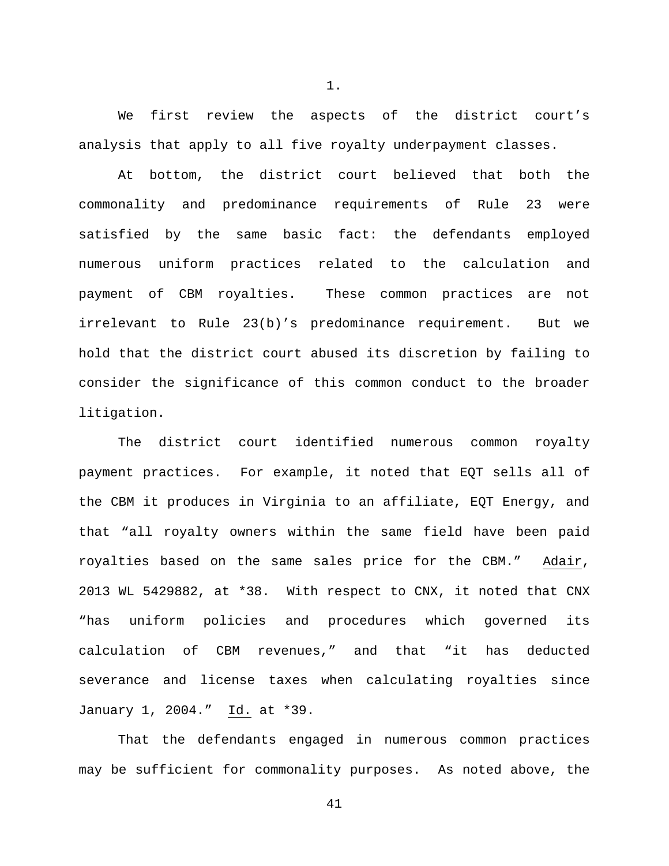We first review the aspects of the district court's analysis that apply to all five royalty underpayment classes.

1.

At bottom, the district court believed that both the commonality and predominance requirements of Rule 23 were satisfied by the same basic fact: the defendants employed numerous uniform practices related to the calculation and payment of CBM royalties. These common practices are not irrelevant to Rule 23(b)'s predominance requirement. But we hold that the district court abused its discretion by failing to consider the significance of this common conduct to the broader litigation.

The district court identified numerous common royalty payment practices. For example, it noted that EQT sells all of the CBM it produces in Virginia to an affiliate, EQT Energy, and that "all royalty owners within the same field have been paid royalties based on the same sales price for the CBM." Adair, 2013 WL 5429882, at \*38. With respect to CNX, it noted that CNX "has uniform policies and procedures which governed its calculation of CBM revenues," and that "it has deducted severance and license taxes when calculating royalties since January 1, 2004." Id. at \*39.

That the defendants engaged in numerous common practices may be sufficient for commonality purposes. As noted above, the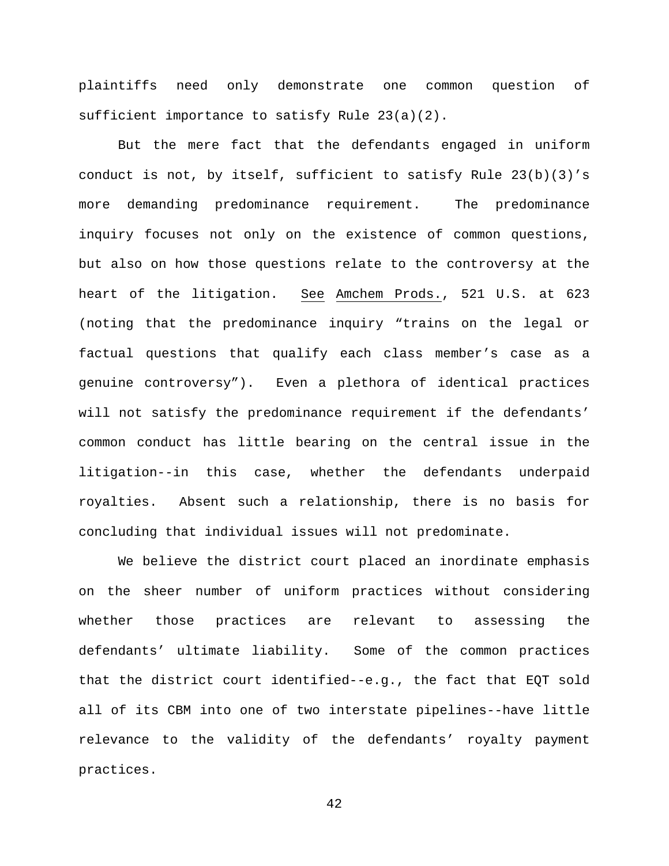plaintiffs need only demonstrate one common question of sufficient importance to satisfy Rule 23(a)(2).

But the mere fact that the defendants engaged in uniform conduct is not, by itself, sufficient to satisfy Rule  $23(b)(3)'s$ more demanding predominance requirement. The predominance inquiry focuses not only on the existence of common questions, but also on how those questions relate to the controversy at the heart of the litigation. See Amchem Prods., 521 U.S. at 623 (noting that the predominance inquiry "trains on the legal or factual questions that qualify each class member's case as a genuine controversy"). Even a plethora of identical practices will not satisfy the predominance requirement if the defendants' common conduct has little bearing on the central issue in the litigation--in this case, whether the defendants underpaid royalties. Absent such a relationship, there is no basis for concluding that individual issues will not predominate.

We believe the district court placed an inordinate emphasis on the sheer number of uniform practices without considering whether those practices are relevant to assessing the defendants' ultimate liability. Some of the common practices that the district court identified--e.g., the fact that EQT sold all of its CBM into one of two interstate pipelines--have little relevance to the validity of the defendants' royalty payment practices.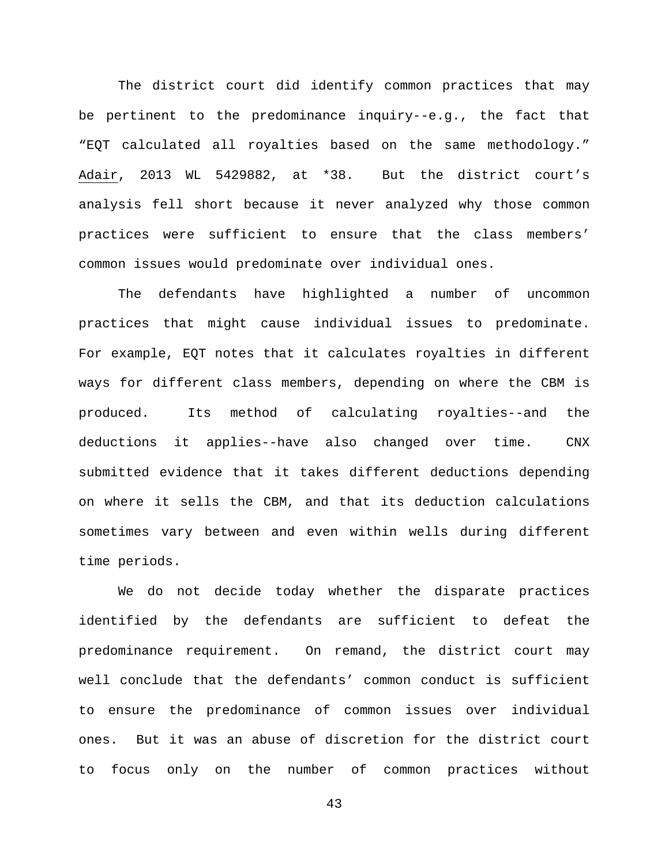The district court did identify common practices that may be pertinent to the predominance inquiry--e.g., the fact that "EQT calculated all royalties based on the same methodology." Adair, 2013 WL 5429882, at \*38. But the district court's analysis fell short because it never analyzed why those common practices were sufficient to ensure that the class members' common issues would predominate over individual ones.

The defendants have highlighted a number of uncommon practices that might cause individual issues to predominate. For example, EQT notes that it calculates royalties in different ways for different class members, depending on where the CBM is produced. Its method of calculating royalties--and the deductions it applies--have also changed over time. CNX submitted evidence that it takes different deductions depending on where it sells the CBM, and that its deduction calculations sometimes vary between and even within wells during different time periods.

We do not decide today whether the disparate practices identified by the defendants are sufficient to defeat the predominance requirement. On remand, the district court may well conclude that the defendants' common conduct is sufficient to ensure the predominance of common issues over individual ones. But it was an abuse of discretion for the district court to focus only on the number of common practices without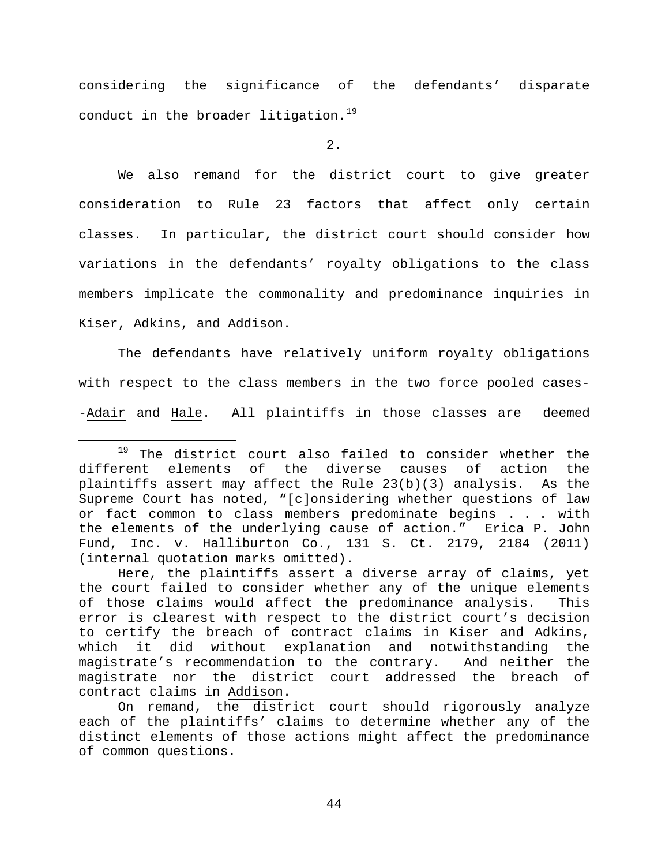considering the significance of the defendants' disparate conduct in the broader litigation.<sup>19</sup>

2.

We also remand for the district court to give greater consideration to Rule 23 factors that affect only certain classes. In particular, the district court should consider how variations in the defendants' royalty obligations to the class members implicate the commonality and predominance inquiries in Kiser, Adkins, and Addison.

The defendants have relatively uniform royalty obligations with respect to the class members in the two force pooled cases- -Adair and Hale. All plaintiffs in those classes are deemed

<span id="page-43-0"></span><sup>&</sup>lt;sup>19</sup> The district court also failed to consider whether the<br>rent elements of the diverse causes of action the different elements of the diverse causes of action plaintiffs assert may affect the Rule 23(b)(3) analysis. As the Supreme Court has noted, "[c]onsidering whether questions of law or fact common to class members predominate begins . . . with the elements of the underlying cause of action." Erica P. John Fund, Inc. v. Halliburton Co., 131 S. Ct. 2179, 2184 (2011) (internal quotation marks omitted).

Here, the plaintiffs assert a diverse array of claims, yet the court failed to consider whether any of the unique elements of those claims would affect the predominance analysis. This error is clearest with respect to the district court's decision to certify the breach of contract claims in Kiser and Adkins, which it did without explanation and notwithstanding the magistrate's recommendation to the contrary. And neither the magistrate nor the district court addressed the breach of contract claims in Addison.

On remand, the district court should rigorously analyze each of the plaintiffs' claims to determine whether any of the distinct elements of those actions might affect the predominance of common questions.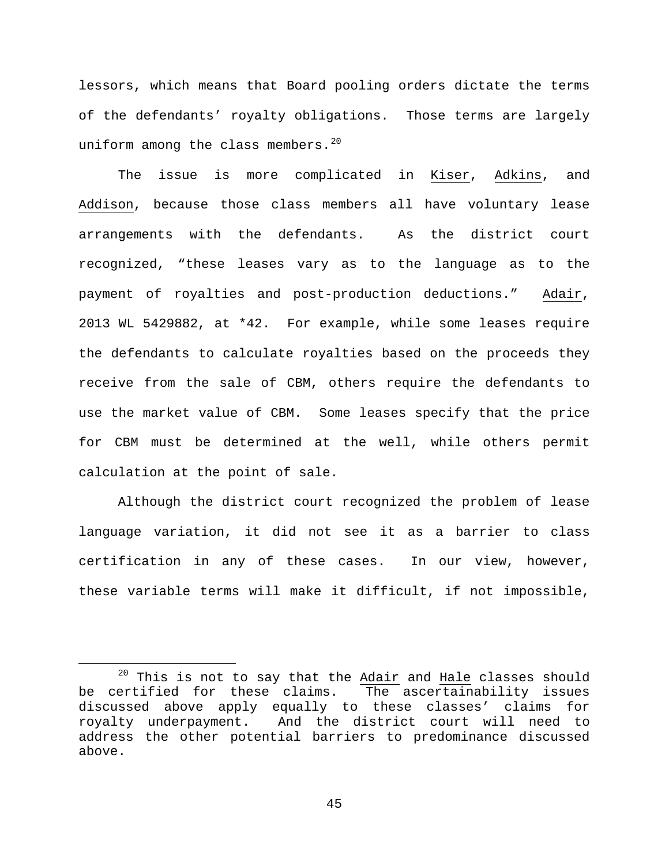lessors, which means that Board pooling orders dictate the terms of the defendants' royalty obligations. Those terms are largely uniform among the class members. $20$ 

The issue is more complicated in Kiser, Adkins, and Addison, because those class members all have voluntary lease arrangements with the defendants. As the district court recognized, "these leases vary as to the language as to the payment of royalties and post-production deductions." Adair, 2013 WL 5429882, at \*42. For example, while some leases require the defendants to calculate royalties based on the proceeds they receive from the sale of CBM, others require the defendants to use the market value of CBM. Some leases specify that the price for CBM must be determined at the well, while others permit calculation at the point of sale.

Although the district court recognized the problem of lease language variation, it did not see it as a barrier to class certification in any of these cases. In our view, however, these variable terms will make it difficult, if not impossible,

<span id="page-44-0"></span> $20$  This is not to say that the Adair and Hale classes should be certified for these claims. The ascertainability issues discussed above apply equally to these classes' claims for royalty underpayment. And the district court will need to address the other potential barriers to predominance discussed above.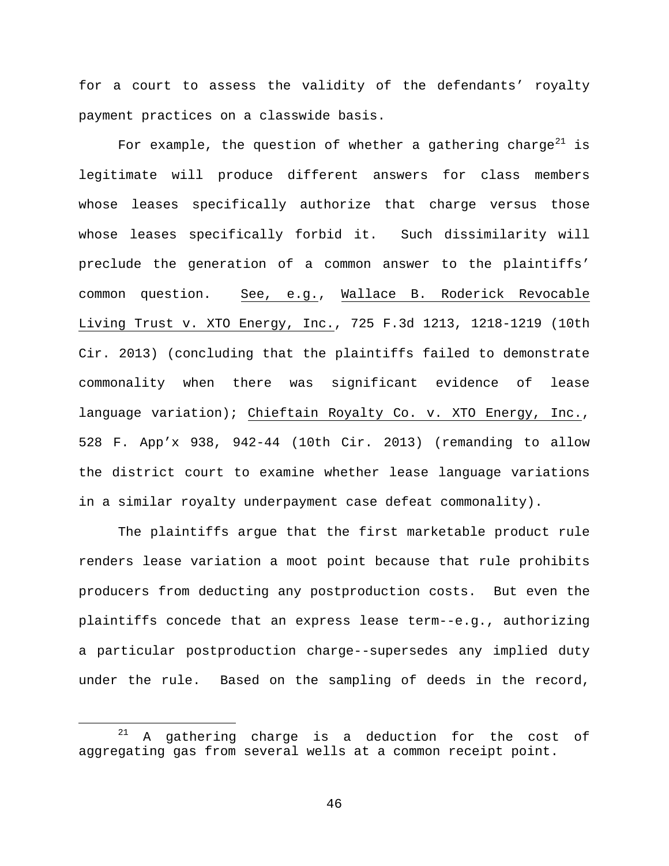for a court to assess the validity of the defendants' royalty payment practices on a classwide basis.

For example, the question of whether a gathering charge<sup>[21](#page-45-0)</sup> is legitimate will produce different answers for class members whose leases specifically authorize that charge versus those whose leases specifically forbid it. Such dissimilarity will preclude the generation of a common answer to the plaintiffs' common question. See, e.g., Wallace B. Roderick Revocable Living Trust v. XTO Energy, Inc., 725 F.3d 1213, 1218-1219 (10th Cir. 2013) (concluding that the plaintiffs failed to demonstrate commonality when there was significant evidence of lease language variation); Chieftain Royalty Co. v. XTO Energy, Inc., 528 F. App'x 938, 942-44 (10th Cir. 2013) (remanding to allow the district court to examine whether lease language variations in a similar royalty underpayment case defeat commonality).

The plaintiffs argue that the first marketable product rule renders lease variation a moot point because that rule prohibits producers from deducting any postproduction costs. But even the plaintiffs concede that an express lease term--e.g., authorizing a particular postproduction charge--supersedes any implied duty under the rule. Based on the sampling of deeds in the record,

<span id="page-45-0"></span> <sup>21</sup> A gathering charge is a deduction for the cost of aggregating gas from several wells at a common receipt point.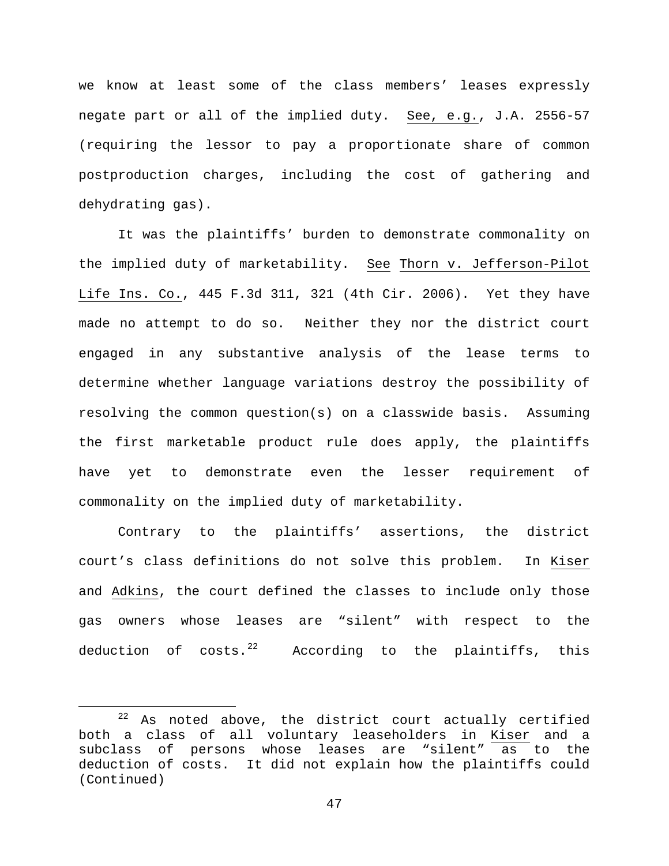we know at least some of the class members' leases expressly negate part or all of the implied duty. See, e.g., J.A. 2556-57 (requiring the lessor to pay a proportionate share of common postproduction charges, including the cost of gathering and dehydrating gas).

It was the plaintiffs' burden to demonstrate commonality on the implied duty of marketability. See Thorn v. Jefferson-Pilot Life Ins. Co., 445 F.3d 311, 321 (4th Cir. 2006). Yet they have made no attempt to do so. Neither they nor the district court engaged in any substantive analysis of the lease terms to determine whether language variations destroy the possibility of resolving the common question(s) on a classwide basis. Assuming the first marketable product rule does apply, the plaintiffs have yet to demonstrate even the lesser requirement of commonality on the implied duty of marketability.

Contrary to the plaintiffs' assertions, the district court's class definitions do not solve this problem. In Kiser and Adkins, the court defined the classes to include only those gas owners whose leases are "silent" with respect to the deduction of  $costs.<sup>22</sup>$  $costs.<sup>22</sup>$  $costs.<sup>22</sup>$  According to the plaintiffs, this

<span id="page-46-0"></span> $22$  As noted above, the district court actually certified both a class of all voluntary leaseholders in Kiser and a subclass of persons whose leases are "silent" as to the deduction of costs. It did not explain how the plaintiffs could (Continued)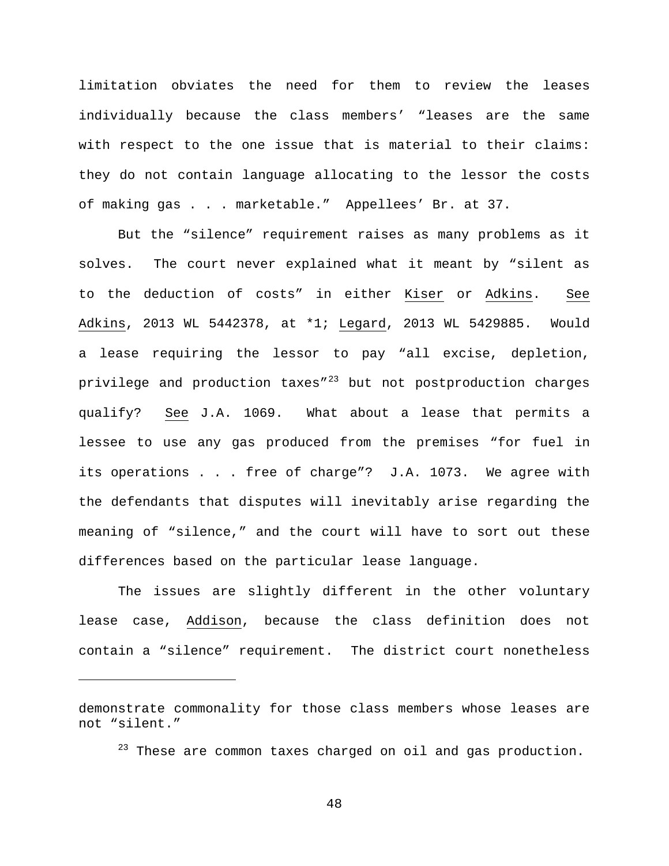limitation obviates the need for them to review the leases individually because the class members' "leases are the same with respect to the one issue that is material to their claims: they do not contain language allocating to the lessor the costs of making gas . . . marketable." Appellees' Br. at 37.

But the "silence" requirement raises as many problems as it solves. The court never explained what it meant by "silent as to the deduction of costs" in either Kiser or Adkins. See Adkins, 2013 WL 5442378, at \*1; Legard, 2013 WL 5429885. Would a lease requiring the lessor to pay "all excise, depletion, privilege and production taxes"<sup>[23](#page-47-0)</sup> but not postproduction charges qualify? See J.A. 1069. What about a lease that permits a lessee to use any gas produced from the premises "for fuel in its operations . . . free of charge"? J.A. 1073. We agree with the defendants that disputes will inevitably arise regarding the meaning of "silence," and the court will have to sort out these differences based on the particular lease language.

The issues are slightly different in the other voluntary lease case, Addison, because the class definition does not contain a "silence" requirement. The district court nonetheless

Ĩ.

 $23$  These are common taxes charged on oil and gas production.

<span id="page-47-0"></span>demonstrate commonality for those class members whose leases are not "silent."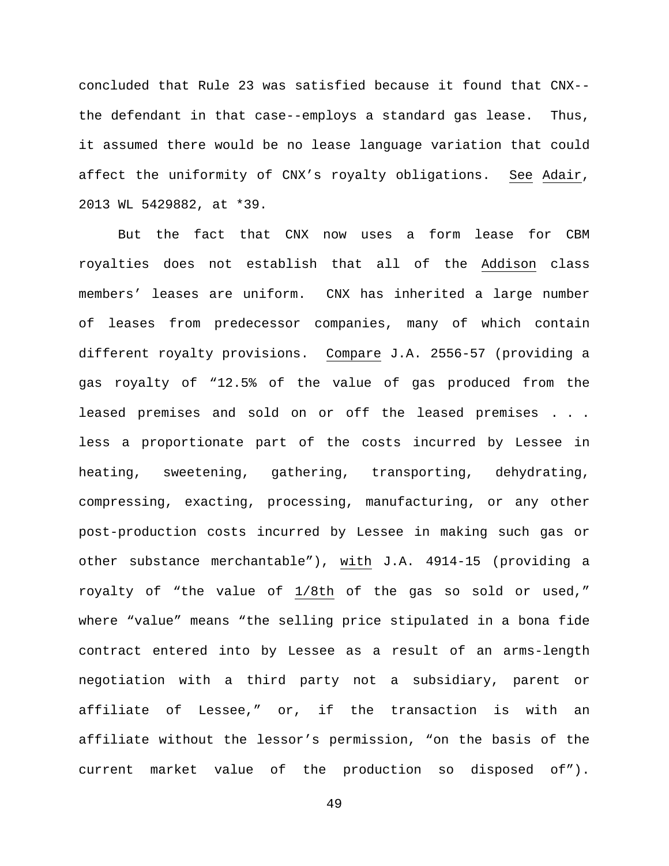concluded that Rule 23 was satisfied because it found that CNX- the defendant in that case--employs a standard gas lease. Thus, it assumed there would be no lease language variation that could affect the uniformity of CNX's royalty obligations. See Adair, 2013 WL 5429882, at \*39.

But the fact that CNX now uses a form lease for CBM royalties does not establish that all of the Addison class members' leases are uniform. CNX has inherited a large number of leases from predecessor companies, many of which contain different royalty provisions. Compare J.A. 2556-57 (providing a gas royalty of "12.5% of the value of gas produced from the leased premises and sold on or off the leased premises . . . less a proportionate part of the costs incurred by Lessee in heating, sweetening, gathering, transporting, dehydrating, compressing, exacting, processing, manufacturing, or any other post-production costs incurred by Lessee in making such gas or other substance merchantable"), with J.A. 4914-15 (providing a royalty of "the value of 1/8th of the gas so sold or used," where "value" means "the selling price stipulated in a bona fide contract entered into by Lessee as a result of an arms-length negotiation with a third party not a subsidiary, parent or affiliate of Lessee," or, if the transaction is with an affiliate without the lessor's permission, "on the basis of the current market value of the production so disposed of").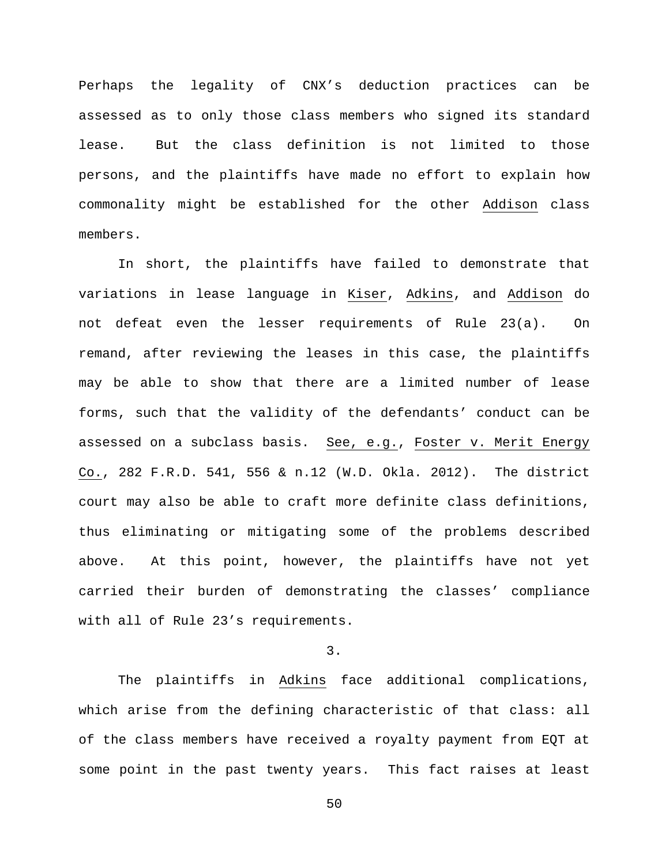Perhaps the legality of CNX's deduction practices can be assessed as to only those class members who signed its standard lease. But the class definition is not limited to those persons, and the plaintiffs have made no effort to explain how commonality might be established for the other Addison class members.

In short, the plaintiffs have failed to demonstrate that variations in lease language in Kiser, Adkins, and Addison do not defeat even the lesser requirements of Rule 23(a). On remand, after reviewing the leases in this case, the plaintiffs may be able to show that there are a limited number of lease forms, such that the validity of the defendants' conduct can be assessed on a subclass basis. See, e.g., Foster v. Merit Energy Co., 282 F.R.D. 541, 556 & n.12 (W.D. Okla. 2012). The district court may also be able to craft more definite class definitions, thus eliminating or mitigating some of the problems described above. At this point, however, the plaintiffs have not yet carried their burden of demonstrating the classes' compliance with all of Rule 23's requirements.

3.

The plaintiffs in Adkins face additional complications, which arise from the defining characteristic of that class: all of the class members have received a royalty payment from EQT at some point in the past twenty years. This fact raises at least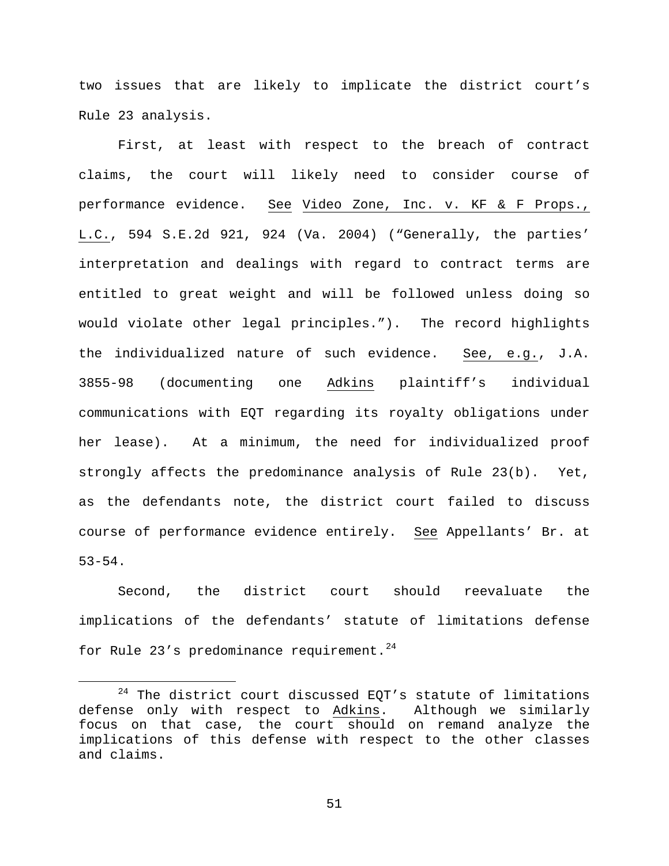two issues that are likely to implicate the district court's Rule 23 analysis.

First, at least with respect to the breach of contract claims, the court will likely need to consider course of performance evidence. See Video Zone, Inc. v. KF & F Props., L.C., 594 S.E.2d 921, 924 (Va. 2004) ("Generally, the parties' interpretation and dealings with regard to contract terms are entitled to great weight and will be followed unless doing so would violate other legal principles."). The record highlights the individualized nature of such evidence. See, e.g., J.A. 3855-98 (documenting one Adkins plaintiff's individual communications with EQT regarding its royalty obligations under her lease). At a minimum, the need for individualized proof strongly affects the predominance analysis of Rule 23(b). Yet, as the defendants note, the district court failed to discuss course of performance evidence entirely. See Appellants' Br. at 53-54.

Second, the district court should reevaluate the implications of the defendants' statute of limitations defense for Rule 23's predominance requirement.<sup>24</sup>

<span id="page-50-0"></span> $24$  The district court discussed EQT's statute of limitations defense only with respect to Adkins. Although we similarly focus on that case, the court should on remand analyze the implications of this defense with respect to the other classes and claims.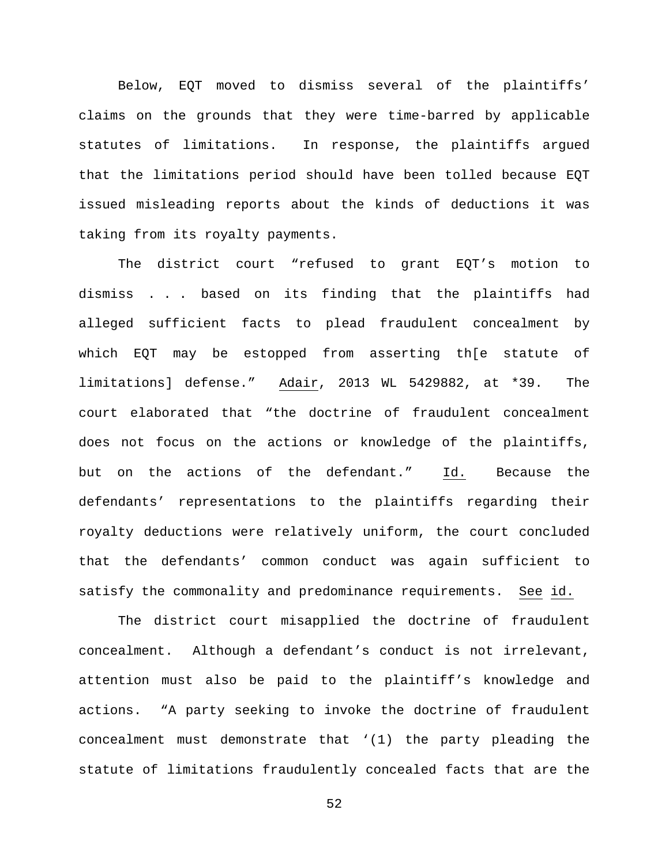Below, EQT moved to dismiss several of the plaintiffs' claims on the grounds that they were time-barred by applicable statutes of limitations. In response, the plaintiffs argued that the limitations period should have been tolled because EQT issued misleading reports about the kinds of deductions it was taking from its royalty payments.

The district court "refused to grant EQT's motion to dismiss . . . based on its finding that the plaintiffs had alleged sufficient facts to plead fraudulent concealment by which EQT may be estopped from asserting th[e statute of limitations] defense." Adair, 2013 WL 5429882, at \*39. The court elaborated that "the doctrine of fraudulent concealment does not focus on the actions or knowledge of the plaintiffs, but on the actions of the defendant." Id. Because the defendants' representations to the plaintiffs regarding their royalty deductions were relatively uniform, the court concluded that the defendants' common conduct was again sufficient to satisfy the commonality and predominance requirements. See id.

The district court misapplied the doctrine of fraudulent concealment. Although a defendant's conduct is not irrelevant, attention must also be paid to the plaintiff's knowledge and actions. "A party seeking to invoke the doctrine of fraudulent concealment must demonstrate that '(1) the party pleading the statute of limitations fraudulently concealed facts that are the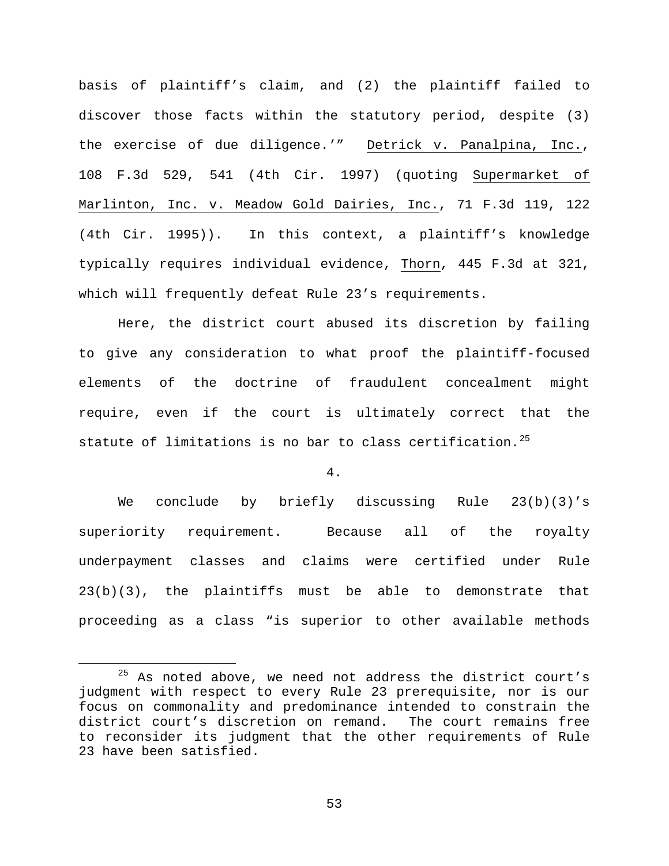basis of plaintiff's claim, and (2) the plaintiff failed to discover those facts within the statutory period, despite (3) the exercise of due diligence.'" Detrick v. Panalpina, Inc., 108 F.3d 529, 541 (4th Cir. 1997) (quoting Supermarket of Marlinton, Inc. v. Meadow Gold Dairies, Inc., 71 F.3d 119, 122 (4th Cir. 1995)). In this context, a plaintiff's knowledge typically requires individual evidence, Thorn, 445 F.3d at 321, which will frequently defeat Rule 23's requirements.

Here, the district court abused its discretion by failing to give any consideration to what proof the plaintiff-focused elements of the doctrine of fraudulent concealment might require, even if the court is ultimately correct that the statute of limitations is no bar to class certification.<sup>[25](#page-52-0)</sup>

4.

We conclude by briefly discussing Rule 23(b)(3)'s superiority requirement. Because all of the royalty underpayment classes and claims were certified under Rule 23(b)(3), the plaintiffs must be able to demonstrate that proceeding as a class "is superior to other available methods

<span id="page-52-0"></span> $25$  As noted above, we need not address the district court's judgment with respect to every Rule 23 prerequisite, nor is our focus on commonality and predominance intended to constrain the district court's discretion on remand. The court remains free to reconsider its judgment that the other requirements of Rule 23 have been satisfied.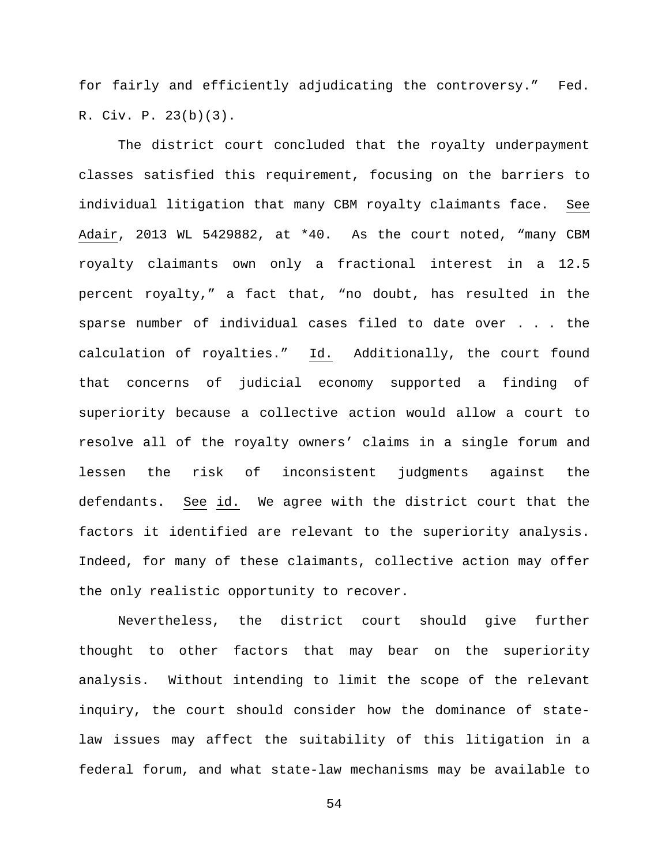for fairly and efficiently adjudicating the controversy." Fed. R. Civ. P. 23(b)(3).

The district court concluded that the royalty underpayment classes satisfied this requirement, focusing on the barriers to individual litigation that many CBM royalty claimants face. See Adair, 2013 WL 5429882, at \*40. As the court noted, "many CBM royalty claimants own only a fractional interest in a 12.5 percent royalty," a fact that, "no doubt, has resulted in the sparse number of individual cases filed to date over . . . the calculation of royalties." Id. Additionally, the court found that concerns of judicial economy supported a finding of superiority because a collective action would allow a court to resolve all of the royalty owners' claims in a single forum and lessen the risk of inconsistent judgments against the defendants. See id. We agree with the district court that the factors it identified are relevant to the superiority analysis. Indeed, for many of these claimants, collective action may offer the only realistic opportunity to recover.

Nevertheless, the district court should give further thought to other factors that may bear on the superiority analysis. Without intending to limit the scope of the relevant inquiry, the court should consider how the dominance of statelaw issues may affect the suitability of this litigation in a federal forum, and what state-law mechanisms may be available to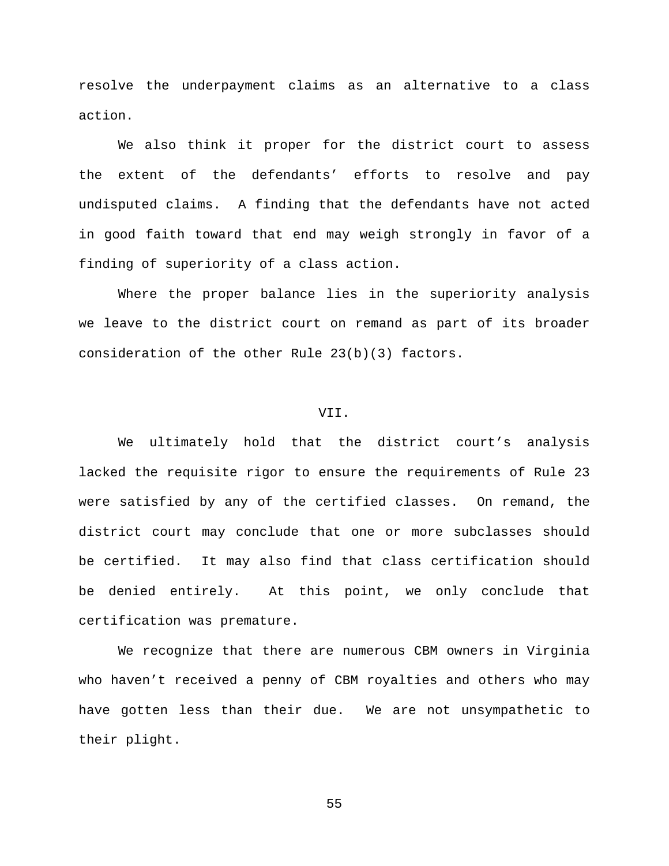resolve the underpayment claims as an alternative to a class action.

We also think it proper for the district court to assess the extent of the defendants' efforts to resolve and pay undisputed claims. A finding that the defendants have not acted in good faith toward that end may weigh strongly in favor of a finding of superiority of a class action.

Where the proper balance lies in the superiority analysis we leave to the district court on remand as part of its broader consideration of the other Rule 23(b)(3) factors.

#### VII.

We ultimately hold that the district court's analysis lacked the requisite rigor to ensure the requirements of Rule 23 were satisfied by any of the certified classes. On remand, the district court may conclude that one or more subclasses should be certified. It may also find that class certification should be denied entirely. At this point, we only conclude that certification was premature.

We recognize that there are numerous CBM owners in Virginia who haven't received a penny of CBM royalties and others who may have gotten less than their due. We are not unsympathetic to their plight.